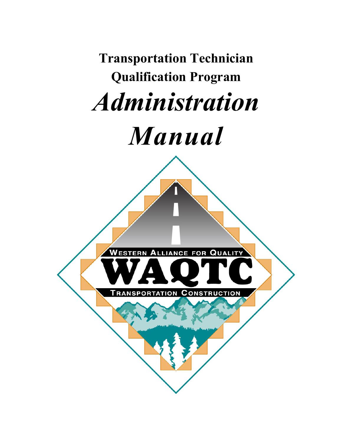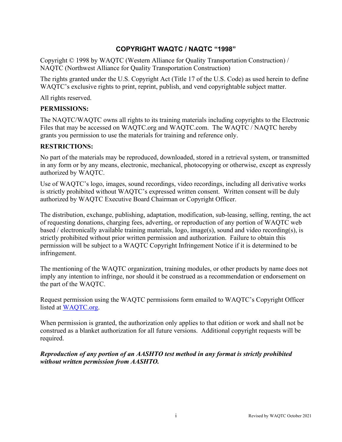# **COPYRIGHT WAQTC / NAQTC "1998"**

<span id="page-2-0"></span>Copyright © 1998 by WAQTC (Western Alliance for Quality Transportation Construction) / NAQTC (Northwest Alliance for Quality Transportation Construction)

The rights granted under the U.S. Copyright Act (Title 17 of the U.S. Code) as used herein to define WAQTC's exclusive rights to print, reprint, publish, and vend copyrightable subject matter.

All rights reserved.

## **PERMISSIONS:**

The NAQTC/WAQTC owns all rights to its training materials including copyrights to the Electronic Files that may be accessed on WAQTC.org and WAQTC.com. The WAQTC / NAQTC hereby grants you permission to use the materials for training and reference only.

### **RESTRICTIONS:**

No part of the materials may be reproduced, downloaded, stored in a retrieval system, or transmitted in any form or by any means, electronic, mechanical, photocopying or otherwise, except as expressly authorized by WAQTC.

Use of WAQTC's logo, images, sound recordings, video recordings, including all derivative works is strictly prohibited without WAQTC's expressed written consent. Written consent will be duly authorized by WAQTC Executive Board Chairman or Copyright Officer.

The distribution, exchange, publishing, adaptation, modification, sub-leasing, selling, renting, the act of requesting donations, charging fees, adverting, or reproduction of any portion of WAQTC web based / electronically available training materials, logo, image(s), sound and video recording(s), is strictly prohibited without prior written permission and authorization. Failure to obtain this permission will be subject to a WAQTC Copyright Infringement Notice if it is determined to be infringement.

The mentioning of the WAQTC organization, training modules, or other products by name does not imply any intention to infringe, nor should it be construed as a recommendation or endorsement on the part of the WAQTC.

Request permission using the WAQTC permissions form emailed to WAQTC's Copyright Officer listed at [WAQTC.org.](http://waqtc.org/contact.cfm)

When permission is granted, the authorization only applies to that edition or work and shall not be construed as a blanket authorization for all future versions. Additional copyright requests will be required.

*Reproduction of any portion of an AASHTO test method in any format is strictly prohibited without written permission from AASHTO.*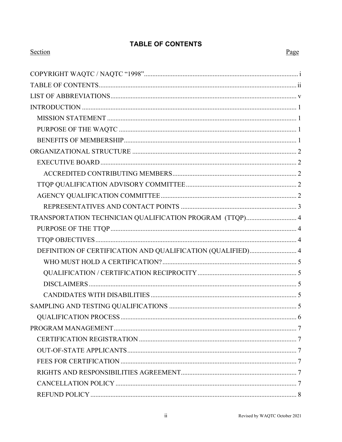# **TABLE OF CONTENTS**

<span id="page-3-0"></span>

| TRANSPORTATION TECHNICIAN QUALIFICATION PROGRAM (TTQP) 4    |
|-------------------------------------------------------------|
|                                                             |
|                                                             |
|                                                             |
| DEFINITION OF CERTIFICATION AND QUALIFICATION (QUALIFIED) 4 |
|                                                             |
|                                                             |
|                                                             |
|                                                             |
|                                                             |
|                                                             |
|                                                             |
|                                                             |
|                                                             |
|                                                             |
|                                                             |
|                                                             |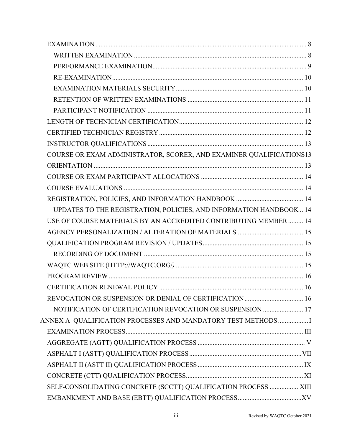| COURSE OR EXAM ADMINISTRATOR, SCORER, AND EXAMINER QUALIFICATIONS13 |  |
|---------------------------------------------------------------------|--|
|                                                                     |  |
|                                                                     |  |
|                                                                     |  |
|                                                                     |  |
| UPDATES TO THE REGISTRATION, POLICIES, AND INFORMATION HANDBOOK  14 |  |
| USE OF COURSE MATERIALS BY AN ACCREDITED CONTRIBUTING MEMBER 14     |  |
|                                                                     |  |
|                                                                     |  |
|                                                                     |  |
|                                                                     |  |
|                                                                     |  |
|                                                                     |  |
|                                                                     |  |
| NOTIFICATION OF CERTIFICATION REVOCATION OR SUSPENSION  17          |  |
| ANNEX A QUALIFICATION PROCESSES AND MANDATORY TEST METHODS  I       |  |
|                                                                     |  |
|                                                                     |  |
|                                                                     |  |
|                                                                     |  |
|                                                                     |  |
| SELF-CONSOLIDATING CONCRETE (SCCTT) QUALIFICATION PROCESS  XIII     |  |
|                                                                     |  |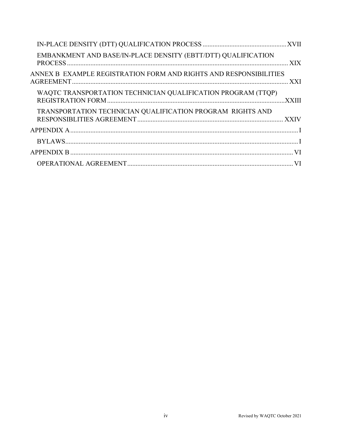| EMBANKMENT AND BASE/IN-PLACE DENSITY (EBTT/DTT) QUALIFICATION     |
|-------------------------------------------------------------------|
| ANNEX B EXAMPLE REGISTRATION FORM AND RIGHTS AND RESPONSIBILITIES |
| WAQTC TRANSPORTATION TECHNICIAN QUALIFICATION PROGRAM (TTQP)      |
| TRANSPORTATION TECHNICIAN QUALIFICATION PROGRAM RIGHTS AND        |
|                                                                   |
|                                                                   |
|                                                                   |
|                                                                   |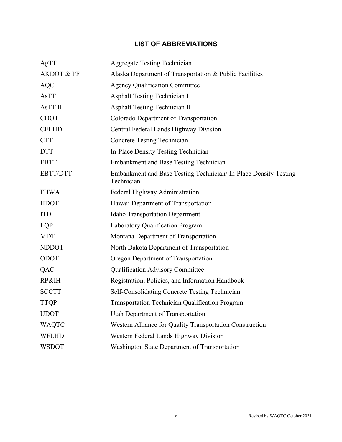# **LIST OF ABBREVIATIONS**

<span id="page-6-0"></span>

| AgTT                  | <b>Aggregate Testing Technician</b>                                            |
|-----------------------|--------------------------------------------------------------------------------|
| <b>AKDOT &amp; PF</b> | Alaska Department of Transportation & Public Facilities                        |
| <b>AQC</b>            | <b>Agency Qualification Committee</b>                                          |
| AsTT                  | <b>Asphalt Testing Technician I</b>                                            |
| AsTT II               | Asphalt Testing Technician II                                                  |
| <b>CDOT</b>           | Colorado Department of Transportation                                          |
| <b>CFLHD</b>          | Central Federal Lands Highway Division                                         |
| <b>CTT</b>            | <b>Concrete Testing Technician</b>                                             |
| <b>DTT</b>            | In-Place Density Testing Technician                                            |
| <b>EBTT</b>           | <b>Embankment and Base Testing Technician</b>                                  |
| <b>EBTT/DTT</b>       | Embankment and Base Testing Technician/ In-Place Density Testing<br>Technician |
| <b>FHWA</b>           | Federal Highway Administration                                                 |
| <b>HDOT</b>           | Hawaii Department of Transportation                                            |
| <b>ITD</b>            | <b>Idaho Transportation Department</b>                                         |
| LQP                   | Laboratory Qualification Program                                               |
| <b>MDT</b>            | Montana Department of Transportation                                           |
| <b>NDDOT</b>          | North Dakota Department of Transportation                                      |
| ODOT                  | Oregon Department of Transportation                                            |
| QAC                   | <b>Qualification Advisory Committee</b>                                        |
| RP&IH                 | Registration, Policies, and Information Handbook                               |
| <b>SCCTT</b>          | Self-Consolidating Concrete Testing Technician                                 |
| <b>TTQP</b>           | <b>Transportation Technician Qualification Program</b>                         |
| <b>UDOT</b>           | Utah Department of Transportation                                              |
| <b>WAQTC</b>          | Western Alliance for Quality Transportation Construction                       |
| <b>WFLHD</b>          | Western Federal Lands Highway Division                                         |
| <b>WSDOT</b>          | Washington State Department of Transportation                                  |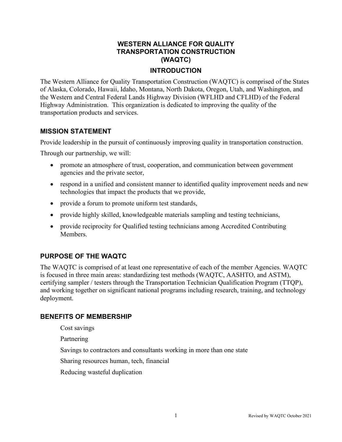# **WESTERN ALLIANCE FOR QUALITY TRANSPORTATION CONSTRUCTION (WAQTC)**

## **INTRODUCTION**

<span id="page-8-0"></span>The Western Alliance for Quality Transportation Construction (WAQTC) is comprised of the States of Alaska, Colorado, Hawaii, Idaho, Montana, North Dakota, Oregon, Utah, and Washington, and the Western and Central Federal Lands Highway Division (WFLHD and CFLHD) of the Federal Highway Administration. This organization is dedicated to improving the quality of the transportation products and services.

## <span id="page-8-1"></span>**MISSION STATEMENT**

Provide leadership in the pursuit of continuously improving quality in transportation construction.

Through our partnership, we will:

- promote an atmosphere of trust, cooperation, and communication between government agencies and the private sector,
- respond in a unified and consistent manner to identified quality improvement needs and new technologies that impact the products that we provide,
- provide a forum to promote uniform test standards,
- provide highly skilled, knowledgeable materials sampling and testing technicians,
- provide reciprocity for Qualified testing technicians among Accredited Contributing Members.

# <span id="page-8-2"></span>**PURPOSE OF THE WAQTC**

The WAQTC is comprised of at least one representative of each of the member Agencies. WAQTC is focused in three main areas: standardizing test methods (WAQTC, AASHTO, and ASTM), certifying sampler / testers through the Transportation Technician Qualification Program (TTQP), and working together on significant national programs including research, training, and technology deployment.

# <span id="page-8-3"></span>**BENEFITS OF MEMBERSHIP**

Cost savings

Partnering

Savings to contractors and consultants working in more than one state

Sharing resources human, tech, financial

Reducing wasteful duplication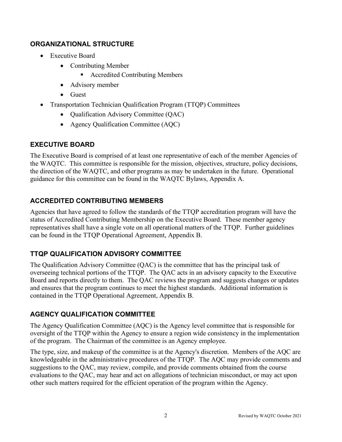# <span id="page-9-0"></span>**ORGANIZATIONAL STRUCTURE**

- Executive Board
	- Contributing Member
		- Accredited Contributing Members
	- Advisory member
	- Guest
- Transportation Technician Qualification Program (TTQP) Committees
	- Qualification Advisory Committee (QAC)
	- Agency Qualification Committee (AQC)

# <span id="page-9-1"></span>**EXECUTIVE BOARD**

The Executive Board is comprised of at least one representative of each of the member Agencies of the WAQTC. This committee is responsible for the mission, objectives, structure, policy decisions, the direction of the WAQTC, and other programs as may be undertaken in the future. Operational guidance for this committee can be found in the WAQTC Bylaws, Appendix A.

# <span id="page-9-2"></span>**ACCREDITED CONTRIBUTING MEMBERS**

Agencies that have agreed to follow the standards of the TTQP accreditation program will have the status of Accredited Contributing Membership on the Executive Board. These member agency representatives shall have a single vote on all operational matters of the TTQP. Further guidelines can be found in the TTQP Operational Agreement, Appendix B.

# <span id="page-9-3"></span>**TTQP QUALIFICATION ADVISORY COMMITTEE**

The Qualification Advisory Committee (QAC) is the committee that has the principal task of overseeing technical portions of the TTQP. The QAC acts in an advisory capacity to the Executive Board and reports directly to them. The QAC reviews the program and suggests changes or updates and ensures that the program continues to meet the highest standards. Additional information is contained in the TTQP Operational Agreement, Appendix B.

# <span id="page-9-4"></span>**AGENCY QUALIFICATION COMMITTEE**

The Agency Qualification Committee (AQC) is the Agency level committee that is responsible for oversight of the TTQP within the Agency to ensure a region wide consistency in the implementation of the program. The Chairman of the committee is an Agency employee.

The type, size, and makeup of the committee is at the Agency's discretion. Members of the AQC are knowledgeable in the administrative procedures of the TTQP. The AQC may provide comments and suggestions to the QAC, may review, compile, and provide comments obtained from the course evaluations to the QAC, may hear and act on allegations of technician misconduct, or may act upon other such matters required for the efficient operation of the program within the Agency.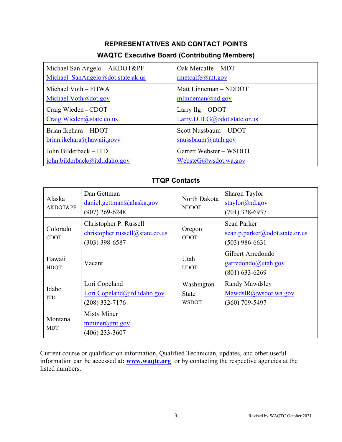# **REPRESENTATIVES AND CONTACT POINTS WAQTC Executive Board (Contributing Members)**

<span id="page-10-0"></span>

| Michael San Angelo - AKDOT&PF     | Oak Metcalfe - MDT           |
|-----------------------------------|------------------------------|
| Michael SanAngelo@dot.state.ak.us | rmetcalfe@mt.gov             |
| Michael Voth - FHWA               | Matt Linneman – NDDOT        |
| Michael. $Voth(\omega)$ dot.gov   | mlinneman@nd.gov             |
| Craig Wieden – CDOT               | Larry $IIg - O$ DOT          |
| Craig.Wieden@state.co.us          | Larry.D.ILG@odot.state.or.us |
| Brian Ikehara - HDOT              | Scott Nussbaum - UDOT        |
| brain. ikehara@hawaii.govv        | snussbaum@utah.gov           |
| John Bilderback - ITD             | Garrett Webster - WSDOT      |
| john.bilderback@itd.idaho.gov     | WebsteG@wsdot.wa.gov         |

# **TTQP Contacts**

| Alaska<br>AKDOT&PF      | Dan Gettman<br>daniel.gettman@alaska.gov<br>$(907)$ 269-6248                  | North Dakota<br><b>NDDOT</b>               | Sharon Taylor<br>staylor@nd.gov<br>$(701)$ 328-6937               |
|-------------------------|-------------------------------------------------------------------------------|--------------------------------------------|-------------------------------------------------------------------|
| Colorado<br><b>CDOT</b> | Christopher P. Russell<br>christopher.russell@state.co.us<br>$(303)$ 398-6587 | Oregon<br><b>ODOT</b>                      | Sean Parker<br>sean.p.parker@odot.state.or.us<br>$(503)$ 986-6631 |
| Hawaii<br><b>HDOT</b>   | Vacant                                                                        | Utah<br><b>UDOT</b>                        | Gilbert Arredondo<br>garredondo@utah.gov<br>$(801) 633 - 6269$    |
| Idaho<br><b>ITD</b>     | Lori Copeland<br>Lori.Copeland@itd.idaho.gov<br>$(208)$ 332-7176              | Washington<br><b>State</b><br><b>WSDOT</b> | Randy Mawdsley<br>MawdslR@wsdot.wa.gov<br>$(360)$ 709-5497        |
| Montana<br><b>MDT</b>   | <b>Misty Miner</b><br>$\text{miner}(a)$ mt.gov<br>$(406)$ 233-3607            |                                            |                                                                   |

Current course or qualification information, Qualified Technician, updates, and other useful information can be accessed at**: [www.waqtc.org](http://www.waqtc.org/)** or by contacting the respective agencies at the listed numbers.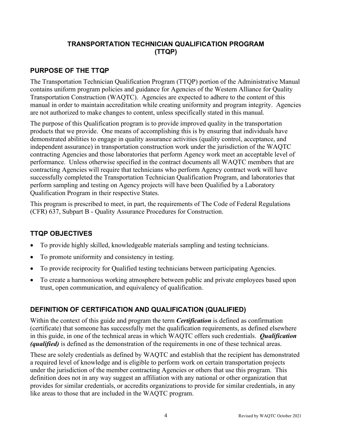# **TRANSPORTATION TECHNICIAN QUALIFICATION PROGRAM (TTQP)**

# <span id="page-11-1"></span><span id="page-11-0"></span>**PURPOSE OF THE TTQP**

The Transportation Technician Qualification Program (TTQP) portion of the Administrative Manual contains uniform program policies and guidance for Agencies of the Western Alliance for Quality Transportation Construction (WAQTC). Agencies are expected to adhere to the content of this manual in order to maintain accreditation while creating uniformity and program integrity. Agencies are not authorized to make changes to content, unless specifically stated in this manual.

The purpose of this Qualification program is to provide improved quality in the transportation products that we provide. One means of accomplishing this is by ensuring that individuals have demonstrated abilities to engage in quality assurance activities (quality control, acceptance, and independent assurance) in transportation construction work under the jurisdiction of the WAQTC contracting Agencies and those laboratories that perform Agency work meet an acceptable level of performance. Unless otherwise specified in the contract documents all WAQTC members that are contracting Agencies will require that technicians who perform Agency contract work will have successfully completed the Transportation Technician Qualification Program, and laboratories that perform sampling and testing on Agency projects will have been Qualified by a Laboratory Qualification Program in their respective States.

This program is prescribed to meet, in part, the requirements of The Code of Federal Regulations (CFR) 637, Subpart B - Quality Assurance Procedures for Construction.

# <span id="page-11-2"></span>**TTQP OBJECTIVES**

- To provide highly skilled, knowledgeable materials sampling and testing technicians.
- To promote uniformity and consistency in testing.
- To provide reciprocity for Qualified testing technicians between participating Agencies.
- To create a harmonious working atmosphere between public and private employees based upon trust, open communication, and equivalency of qualification.

# <span id="page-11-3"></span>**DEFINITION OF CERTIFICATION AND QUALIFICATION (QUALIFIED)**

Within the context of this guide and program the term *Certification* is defined as confirmation (certificate) that someone has successfully met the qualification requirements, as defined elsewhere in this guide, in one of the technical areas in which WAQTC offers such credentials. *Qualification (qualified)* is defined as the demonstration of the requirements in one of these technical areas.

These are solely credentials as defined by WAQTC and establish that the recipient has demonstrated a required level of knowledge and is eligible to perform work on certain transportation projects under the jurisdiction of the member contracting Agencies or others that use this program. This definition does not in any way suggest an affiliation with any national or other organization that provides for similar credentials, or accredits organizations to provide for similar credentials, in any like areas to those that are included in the WAQTC program.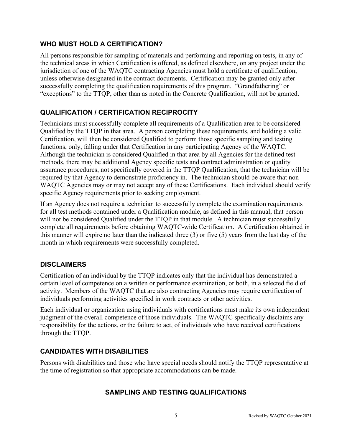# <span id="page-12-0"></span>**WHO MUST HOLD A CERTIFICATION?**

All persons responsible for sampling of materials and performing and reporting on tests, in any of the technical areas in which Certification is offered, as defined elsewhere, on any project under the jurisdiction of one of the WAQTC contracting Agencies must hold a certificate of qualification, unless otherwise designated in the contract documents. Certification may be granted only after successfully completing the qualification requirements of this program. "Grandfathering" or "exceptions" to the TTQP, other than as noted in the Concrete Qualification, will not be granted.

# <span id="page-12-1"></span>**QUALIFICATION / CERTIFICATION RECIPROCITY**

Technicians must successfully complete all requirements of a Qualification area to be considered Qualified by the TTQP in that area. A person completing these requirements, and holding a valid Certification, will then be considered Qualified to perform those specific sampling and testing functions, only, falling under that Certification in any participating Agency of the WAQTC. Although the technician is considered Qualified in that area by all Agencies for the defined test methods, there may be additional Agency specific tests and contract administration or quality assurance procedures, not specifically covered in the TTQP Qualification, that the technician will be required by that Agency to demonstrate proficiency in. The technician should be aware that non-WAQTC Agencies may or may not accept any of these Certifications. Each individual should verify specific Agency requirements prior to seeking employment.

If an Agency does not require a technician to successfully complete the examination requirements for all test methods contained under a Qualification module, as defined in this manual, that person will not be considered Qualified under the TTOP in that module. A technician must successfully complete all requirements before obtaining WAQTC-wide Certification. A Certification obtained in this manner will expire no later than the indicated three (3) or five (5) years from the last day of the month in which requirements were successfully completed.

# <span id="page-12-2"></span>**DISCLAIMERS**

Certification of an individual by the TTQP indicates only that the individual has demonstrated a certain level of competence on a written or performance examination, or both, in a selected field of activity. Members of the WAQTC that are also contracting Agencies may require certification of individuals performing activities specified in work contracts or other activities.

Each individual or organization using individuals with certifications must make its own independent judgment of the overall competence of those individuals. The WAQTC specifically disclaims any responsibility for the actions, or the failure to act, of individuals who have received certifications through the TTQP.

# <span id="page-12-3"></span>**CANDIDATES WITH DISABILITIES**

<span id="page-12-4"></span>Persons with disabilities and those who have special needs should notify the TTQP representative at the time of registration so that appropriate accommodations can be made.

# **SAMPLING AND TESTING QUALIFICATIONS**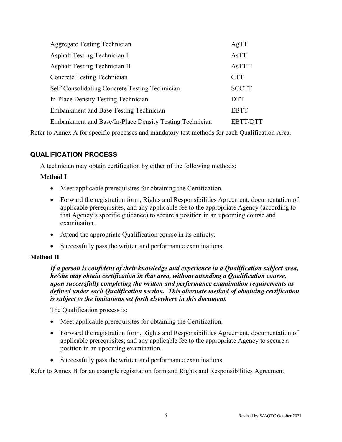| <b>Aggregate Testing Technician</b>                     | AgTT         |
|---------------------------------------------------------|--------------|
| Asphalt Testing Technician I                            | AsTT         |
| Asphalt Testing Technician II                           | AsTT II      |
| <b>Concrete Testing Technician</b>                      | <b>CTT</b>   |
| Self-Consolidating Concrete Testing Technician          | <b>SCCTT</b> |
| In-Place Density Testing Technician                     | <b>DTT</b>   |
| <b>Embankment and Base Testing Technician</b>           | <b>EBTT</b>  |
| Embankment and Base/In-Place Density Testing Technician | ERT"         |

Refer to Annex A for specific processes and mandatory test methods for each Qualification Area.

# <span id="page-13-0"></span>**QUALIFICATION PROCESS**

A technician may obtain certification by either of the following methods:

### **Method I**

- Meet applicable prerequisites for obtaining the Certification.
- Forward the registration form, Rights and Responsibilities Agreement, documentation of applicable prerequisites, and any applicable fee to the appropriate Agency (according to that Agency's specific guidance) to secure a position in an upcoming course and examination.
- Attend the appropriate Qualification course in its entirety.
- Successfully pass the written and performance examinations.

### **Method II**

*If a person is confident of their knowledge and experience in a Qualification subject area, he/she may obtain certification in that area, without attending a Qualification course, upon successfully completing the written and performance examination requirements as defined under each Qualification section. This alternate method of obtaining certification is subject to the limitations set forth elsewhere in this document.*

The Qualification process is:

- Meet applicable prerequisites for obtaining the Certification.
- Forward the registration form, Rights and Responsibilities Agreement, documentation of applicable prerequisites, and any applicable fee to the appropriate Agency to secure a position in an upcoming examination.
- Successfully pass the written and performance examinations.

Refer to Annex B for an example registration form and Rights and Responsibilities Agreement.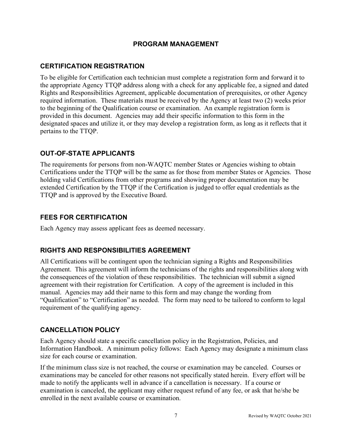## **PROGRAM MANAGEMENT**

# <span id="page-14-1"></span><span id="page-14-0"></span>**CERTIFICATION REGISTRATION**

To be eligible for Certification each technician must complete a registration form and forward it to the appropriate Agency TTQP address along with a check for any applicable fee, a signed and dated Rights and Responsibilities Agreement, applicable documentation of prerequisites, or other Agency required information. These materials must be received by the Agency at least two (2) weeks prior to the beginning of the Qualification course or examination. An example registration form is provided in this document. Agencies may add their specific information to this form in the designated spaces and utilize it, or they may develop a registration form, as long as it reflects that it pertains to the TTQP.

# <span id="page-14-2"></span>**OUT-OF-STATE APPLICANTS**

The requirements for persons from non-WAQTC member States or Agencies wishing to obtain Certifications under the TTQP will be the same as for those from member States or Agencies. Those holding valid Certifications from other programs and showing proper documentation may be extended Certification by the TTQP if the Certification is judged to offer equal credentials as the TTQP and is approved by the Executive Board.

# <span id="page-14-3"></span>**FEES FOR CERTIFICATION**

Each Agency may assess applicant fees as deemed necessary.

## <span id="page-14-4"></span>**RIGHTS AND RESPONSIBILITIES AGREEMENT**

All Certifications will be contingent upon the technician signing a Rights and Responsibilities Agreement. This agreement will inform the technicians of the rights and responsibilities along with the consequences of the violation of these responsibilities. The technician will submit a signed agreement with their registration for Certification.A copy of the agreement is included in this manual. Agencies may add their name to this form and may change the wording from "Qualification" to "Certification" as needed. The form may need to be tailored to conform to legal requirement of the qualifying agency.

# <span id="page-14-5"></span>**CANCELLATION POLICY**

Each Agency should state a specific cancellation policy in the Registration, Policies, and Information Handbook. A minimum policy follows: Each Agency may designate a minimum class size for each course or examination.

If the minimum class size is not reached, the course or examination may be canceled. Courses or examinations may be canceled for other reasons not specifically stated herein. Every effort will be made to notify the applicants well in advance if a cancellation is necessary. If a course or examination is canceled, the applicant may either request refund of any fee, or ask that he/she be enrolled in the next available course or examination.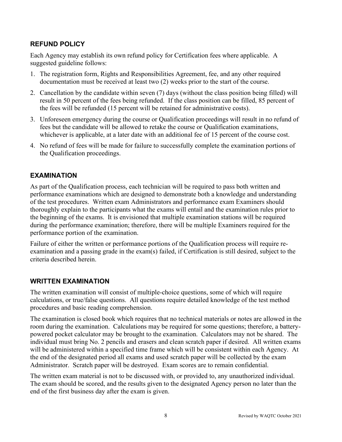# <span id="page-15-0"></span>**REFUND POLICY**

Each Agency may establish its own refund policy for Certification fees where applicable. A suggested guideline follows:

- 1. The registration form, Rights and Responsibilities Agreement, fee, and any other required documentation must be received at least two (2) weeks prior to the start of the course.
- 2. Cancellation by the candidate within seven (7) days (without the class position being filled) will result in 50 percent of the fees being refunded. If the class position can be filled, 85 percent of the fees will be refunded (15 percent will be retained for administrative costs).
- 3. Unforeseen emergency during the course or Qualification proceedings will result in no refund of fees but the candidate will be allowed to retake the course or Qualification examinations, whichever is applicable, at a later date with an additional fee of 15 percent of the course cost.
- 4. No refund of fees will be made for failure to successfully complete the examination portions of the Qualification proceedings.

## <span id="page-15-1"></span>**EXAMINATION**

As part of the Qualification process, each technician will be required to pass both written and performance examinations which are designed to demonstrate both a knowledge and understanding of the test procedures. Written exam Administrators and performance exam Examiners should thoroughly explain to the participants what the exams will entail and the examination rules prior to the beginning of the exams. It is envisioned that multiple examination stations will be required during the performance examination; therefore, there will be multiple Examiners required for the performance portion of the examination.

Failure of either the written or performance portions of the Qualification process will require reexamination and a passing grade in the exam(s) failed, if Certification is still desired, subject to the criteria described herein.

## <span id="page-15-2"></span>**WRITTEN EXAMINATION**

The written examination will consist of multiple-choice questions, some of which will require calculations, or true/false questions. All questions require detailed knowledge of the test method procedures and basic reading comprehension.

The examination is closed book which requires that no technical materials or notes are allowed in the room during the examination. Calculations may be required for some questions; therefore, a batterypowered pocket calculator may be brought to the examination. Calculators may not be shared. The individual must bring No. 2 pencils and erasers and clean scratch paper if desired. All written exams will be administered within a specified time frame which will be consistent within each Agency. At the end of the designated period all exams and used scratch paper will be collected by the exam Administrator. Scratch paper will be destroyed. Exam scores are to remain confidential.

The written exam material is not to be discussed with, or provided to, any unauthorized individual. The exam should be scored, and the results given to the designated Agency person no later than the end of the first business day after the exam is given.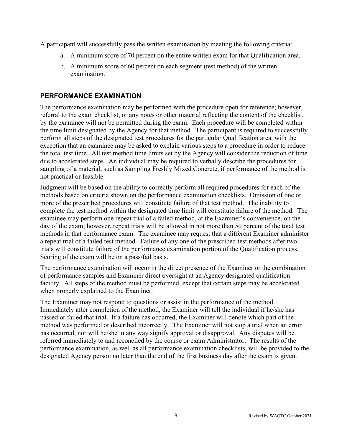A participant will successfully pass the written examination by meeting the following criteria:

- a. A minimum score of 70 percent on the entire written exam for that Qualification area.
- b. A minimum score of 60 percent on each segment (test method) of the written examination.

# <span id="page-16-0"></span>**PERFORMANCE EXAMINATION**

The performance examination may be performed with the procedure open for reference; however, referral to the exam checklist, or any notes or other material reflecting the content of the checklist, by the examinee will not be permitted during the exam. Each procedure will be completed within the time limit designated by the Agency for that method. The participant is required to successfully perform all steps of the designated test procedures for the particular Qualification area, with the exception that an examinee may be asked to explain various steps to a procedure in order to reduce the total test time. All test method time limits set by the Agency will consider the reduction of time due to accelerated steps. An individual may be required to verbally describe the procedures for sampling of a material, such as Sampling Freshly Mixed Concrete, if performance of the method is not practical or feasible.

Judgment will be based on the ability to correctly perform all required procedures for each of the methods based on criteria shown on the performance examination checklists. Omission of one or more of the prescribed procedures will constitute failure of that test method. The inability to complete the test method within the designated time limit will constitute failure of the method. The examinee may perform one repeat trial of a failed method, at the Examiner's convenience, on the day of the exam; however, repeat trials will be allowed in not more than 50 percent of the total test methods in that performance exam. The examinee may request that a different Examiner administer a repeat trial of a failed test method. Failure of any one of the prescribed test methods after two trials will constitute failure of the performance examination portion of the Qualification process. Scoring of the exam will be on a pass/fail basis.

The performance examination will occur in the direct presence of the Examiner or the combination of performance samples and Examiner direct oversight at an Agency designated qualification facility. All steps of the method must be performed, except that certain steps may be accelerated when properly explained to the Examiner.

The Examiner may not respond to questions or assist in the performance of the method. Immediately after completion of the method, the Examiner will tell the individual if he/she has passed or failed that trial. If a failure has occurred, the Examiner will denote which part of the method was performed or described incorrectly. The Examiner will not stop a trial when an error has occurred, nor will he/she in any way signify approval or disapproval. Any disputes will be referred immediately to and reconciled by the course or exam Administrator. The results of the performance examination, as well as all performance examination checklists, will be provided to the designated Agency person no later than the end of the first business day after the exam is given.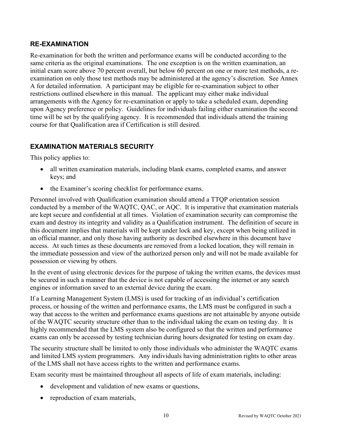# <span id="page-17-0"></span>**RE-EXAMINATION**

Re-examination for both the written and performance exams will be conducted according to the same criteria as the original examinations. The one exception is on the written examination, an initial exam score above 70 percent overall, but below 60 percent on one or more test methods, a reexamination on only those test methods may be administered at the agency's discretion. See Annex A for detailed information. A participant may be eligible for re-examination subject to other restrictions outlined elsewhere in this manual. The applicant may either make individual arrangements with the Agency for re-examination or apply to take a scheduled exam, depending upon Agency preference or policy. Guidelines for individuals failing either examination the second time will be set by the qualifying agency. It is recommended that individuals attend the training course for that Qualification area if Certification is still desired.

# <span id="page-17-1"></span>**EXAMINATION MATERIALS SECURITY**

This policy applies to:

- all written examination materials, including blank exams, completed exams, and answer keys; and
- the Examiner's scoring checklist for performance exams.

Personnel involved with Qualification examination should attend a TTQP orientation session conducted by a member of the WAQTC, QAC, or AQC. It is imperative that examination materials are kept secure and confidential at all times. Violation of examination security can compromise the exam and destroy its integrity and validity as a Qualification instrument. The definition of secure in this document implies that materials will be kept under lock and key, except when being utilized in an official manner, and only those having authority as described elsewhere in this document have access. At such times as these documents are removed from a locked location, they will remain in the immediate possession and view of the authorized person only and will not be made available for possession or viewing by others.

In the event of using electronic devices for the purpose of taking the written exams, the devices must be secured in such a manner that the device is not capable of accessing the internet or any search engines or information saved to an external device during the exam.

If a Learning Management System (LMS) is used for tracking of an individual's certification process, or housing of the written and performance exams, the LMS must be configured in such a way that access to the written and performance exams questions are not attainable by anyone outside of the WAQTC security structure other than to the individual taking the exam on testing day. It is highly recommended that the LMS system also be configured so that the written and performance exams can only be accessed by testing technician during hours designated for testing on exam day.

The security structure shall be limited to only those individuals who administer the WAQTC exams and limited LMS system programmers. Any individuals having administration rights to other areas of the LMS shall not have access rights to the written and performance exams.

Exam security must be maintained throughout all aspects of life of exam materials, including:

- development and validation of new exams or questions,
- reproduction of exam materials,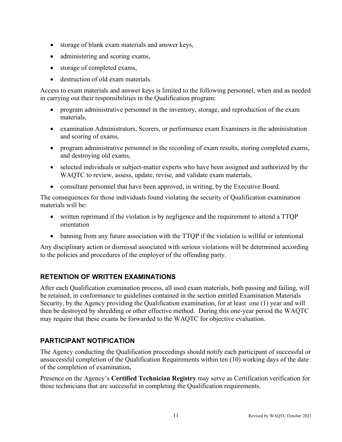- storage of blank exam materials and answer keys,
- administering and scoring exams,
- storage of completed exams,
- destruction of old exam materials.

Access to exam materials and answer keys is limited to the following personnel, when and as needed in carrying out their responsibilities in the Qualification program:

- program administrative personnel in the inventory, storage, and reproduction of the exam materials,
- examination Administrators, Scorers, or performance exam Examiners in the administration and scoring of exams,
- program administrative personnel in the recording of exam results, storing completed exams, and destroying old exams,
- selected individuals or subject-matter experts who have been assigned and authorized by the WAQTC to review, assess, update, revise, and validate exam materials,
- consultant personnel that have been approved, in writing, by the Executive Board.

The consequences for those individuals found violating the security of Qualification examination materials will be:

- written reprimand if the violation is by negligence and the requirement to attend a TTQP orientation
- banning from any future association with the TTQP if the violation is willful or intentional

Any disciplinary action or dismissal associated with serious violations will be determined according to the policies and procedures of the employer of the offending party.

# <span id="page-18-0"></span>**RETENTION OF WRITTEN EXAMINATIONS**

After each Qualification examination process, all used exam materials, both passing and failing, will be retained, in conformance to guidelines contained in the section entitled Examination Materials Security, by the Agency providing the Qualification examination, for at least one (1) year and will then be destroyed by shredding or other effective method. During this one-year period the WAQTC may require that these exams be forwarded to the WAQTC for objective evaluation.

# <span id="page-18-1"></span>**PARTICIPANT NOTIFICATION**

The Agency conducting the Qualification proceedings should notify each participant of successful or unsuccessful completion of the Qualification Requirements within ten (10) working days of the date of the completion of examination**.** 

Presence on the Agency's **Certified Technician Registry** may serve as Certification verification for those technicians that are successful in completing the Qualification requirements.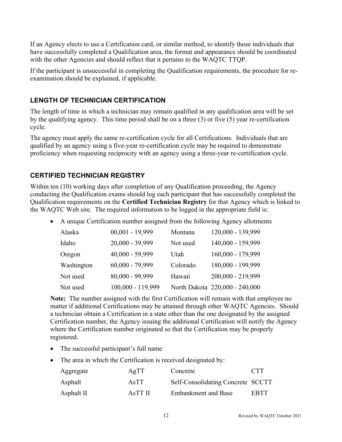If an Agency elects to use a Certification card, or similar method, to identify those individuals that have successfully completed a Qualification area, the format and appearance should be coordinated with the other Agencies and should reflect that it pertains to the WAQTC TTQP.

If the participant is unsuccessful in completing the Qualification requirements, the procedure for reexamination should be explained, if applicable.

# <span id="page-19-0"></span>**LENGTH OF TECHNICIAN CERTIFICATION**

The length of time in which a technician may remain qualified in any qualification area will be set by the qualifying agency. This time period shall be on a three (3) or five (5) year re-certification cycle.

The agency must apply the same re-certification cycle for all Certifications. Individuals that are qualified by an agency using a five-year re-certification cycle may be required to demonstrate proficiency when requesting reciprocity with an agency using a three-year re-certification cycle.

# <span id="page-19-1"></span>**CERTIFIED TECHNICIAN REGISTRY**

Within ten (10) working days after completion of any Qualification proceeding, the Agency conducting the Qualification exams should log each participant that has successfully completed the Qualification requirements on the **Certified Technician Registry** for that Agency which is linked to the WAQTC Web site. The required information to be logged in the appropriate field is:

• A unique Certification number assigned from the following Agency allotments

| Alaska     | $00,001 - 19,999$ | Montana  | 120,000 - 139,999              |
|------------|-------------------|----------|--------------------------------|
| Idaho      | $20,000 - 39,999$ | Not used | 140,000 - 159,999              |
| Oregon     | $40,000 - 59,999$ | Utah     | 160,000 - 179,999              |
| Washington | $60,000 - 79,999$ | Colorado | 180,000 - 199,999              |
| Not used   | 80,000 - 99,999   | Hawaii   | 200,000 - 219,999              |
| Not used   | 100,000 - 119,999 |          | North Dakota 220,000 - 240,000 |

**Note:** The number assigned with the first Certification will remain with that employee no matter if additional Certifications may be attained through other WAQTC Agencies. Should a technician obtain a Certification in a state other than the one designated by the assigned Certification number, the Agency issuing the additional Certification will notify the Agency where the Certification number originated so that the Certification may be properly registered.

- The successful participant's full name
- The area in which the Certification is received designated by:

| Aggregate  | AgTT    | Concrete                          | <b>CTT</b>  |
|------------|---------|-----------------------------------|-------------|
| Asphalt    | AsTT    | Self-Consolidating Concrete SCCTT |             |
| Asphalt II | AsTT II | <b>Embankment and Base</b>        | <b>ERTT</b> |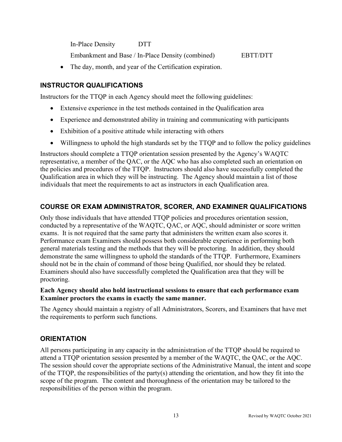In-Place Density DTT Embankment and Base / In-Place Density (combined) EBTT/DTT

• The day, month, and year of the Certification expiration.

# <span id="page-20-0"></span>**INSTRUCTOR QUALIFICATIONS**

Instructors for the TTQP in each Agency should meet the following guidelines:

- Extensive experience in the test methods contained in the Qualification area
- Experience and demonstrated ability in training and communicating with participants
- Exhibition of a positive attitude while interacting with others
- Willingness to uphold the high standards set by the TTOP and to follow the policy guidelines

Instructors should complete a TTQP orientation session presented by the Agency's WAQTC representative, a member of the QAC, or the AQC who has also completed such an orientation on the policies and procedures of the TTQP. Instructors should also have successfully completed the Qualification area in which they will be instructing. The Agency should maintain a list of those individuals that meet the requirements to act as instructors in each Qualification area.

# <span id="page-20-1"></span>**COURSE OR EXAM ADMINISTRATOR, SCORER, AND EXAMINER QUALIFICATIONS**

Only those individuals that have attended TTQP policies and procedures orientation session, conducted by a representative of the WAQTC, QAC, or AQC, should administer or score written exams. It is not required that the same party that administers the written exam also scores it. Performance exam Examiners should possess both considerable experience in performing both general materials testing and the methods that they will be proctoring. In addition, they should demonstrate the same willingness to uphold the standards of the TTQP. Furthermore, Examiners should not be in the chain of command of those being Qualified, nor should they be related. Examiners should also have successfully completed the Qualification area that they will be proctoring.

### **Each Agency should also hold instructional sessions to ensure that each performance exam Examiner proctors the exams in exactly the same manner.**

The Agency should maintain a registry of all Administrators, Scorers, and Examiners that have met the requirements to perform such functions.

# <span id="page-20-2"></span>**ORIENTATION**

All persons participating in any capacity in the administration of the TTQP should be required to attend a TTQP orientation session presented by a member of the WAQTC, the QAC, or the AQC. The session should cover the appropriate sections of the Administrative Manual, the intent and scope of the TTQP, the responsibilities of the party(s) attending the orientation, and how they fit into the scope of the program. The content and thoroughness of the orientation may be tailored to the responsibilities of the person within the program.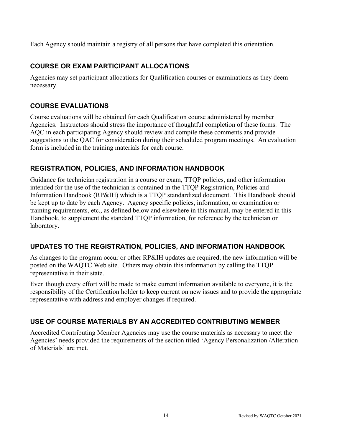Each Agency should maintain a registry of all persons that have completed this orientation.

# <span id="page-21-0"></span>**COURSE OR EXAM PARTICIPANT ALLOCATIONS**

Agencies may set participant allocations for Qualification courses or examinations as they deem necessary.

# <span id="page-21-1"></span>**COURSE EVALUATIONS**

Course evaluations will be obtained for each Qualification course administered by member Agencies. Instructors should stress the importance of thoughtful completion of these forms. The AQC in each participating Agency should review and compile these comments and provide suggestions to the QAC for consideration during their scheduled program meetings. An evaluation form is included in the training materials for each course.

# <span id="page-21-2"></span>**REGISTRATION, POLICIES, AND INFORMATION HANDBOOK**

Guidance for technician registration in a course or exam, TTQP policies, and other information intended for the use of the technician is contained in the TTQP Registration, Policies and Information Handbook (RP&IH) which is a TTQP standardized document. This Handbook should be kept up to date by each Agency. Agency specific policies, information, or examination or training requirements, etc., as defined below and elsewhere in this manual, may be entered in this Handbook, to supplement the standard TTQP information, for reference by the technician or laboratory.

# <span id="page-21-3"></span>**UPDATES TO THE REGISTRATION, POLICIES, AND INFORMATION HANDBOOK**

As changes to the program occur or other RP&IH updates are required, the new information will be posted on the WAQTC Web site. Others may obtain this information by calling the TTQP representative in their state.

Even though every effort will be made to make current information available to everyone, it is the responsibility of the Certification holder to keep current on new issues and to provide the appropriate representative with address and employer changes if required.

# <span id="page-21-4"></span>**USE OF COURSE MATERIALS BY AN ACCREDITED CONTRIBUTING MEMBER**

<span id="page-21-5"></span>Accredited Contributing Member Agencies may use the course materials as necessary to meet the Agencies' needs provided the requirements of the section titled 'Agency Personalization /Alteration of Materials' are met.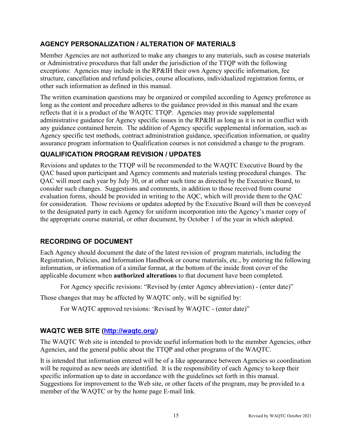# **AGENCY PERSONALIZATION / ALTERATION OF MATERIALS**

Member Agencies are not authorized to make any changes to any materials, such as course materials or Administrative procedures that fall under the jurisdiction of the TTQP with the following exceptions: Agencies may include in the RP&IH their own Agency specific information, fee structure, cancellation and refund policies, course allocations, individualized registration forms, or other such information as defined in this manual.

The written examination questions may be organized or compiled according to Agency preference as long as the content and procedure adheres to the guidance provided in this manual and the exam reflects that it is a product of the WAQTC TTQP. Agencies may provide supplemental administrative guidance for Agency specific issues in the RP&IH as long as it is not in conflict with any guidance contained herein. The addition of Agency specific supplemental information, such as Agency specific test methods, contract administration guidance, specification information, or quality assurance program information to Qualification courses is not considered a change to the program.

# <span id="page-22-0"></span>**QUALIFICATION PROGRAM REVISION / UPDATES**

Revisions and updates to the TTQP will be recommended to the WAQTC Executive Board by the QAC based upon participant and Agency comments and materials testing procedural changes. The QAC will meet each year by July 30, or at other such time as directed by the Executive Board, to consider such changes. Suggestions and comments, in addition to those received from course evaluation forms, should be provided in writing to the AQC, which will provide them to the QAC for consideration. Those revisions or updates adopted by the Executive Board will then be conveyed to the designated party in each Agency for uniform incorporation into the Agency's master copy of the appropriate course material, or other document, by October 1 of the year in which adopted.

# <span id="page-22-1"></span>**RECORDING OF DOCUMENT**

Each Agency should document the date of the latest revision of program materials, including the Registration, Policies, and Information Handbook or course materials, etc., by entering the following information, or information of a similar format, at the bottom of the inside front cover of the applicable document when **authorized alterations** to that document have been completed.

For Agency specific revisions: "Revised by (enter Agency abbreviation) - (enter date)"

Those changes that may be affected by WAQTC only, will be signified by:

For WAQTC approved revisions: 'Revised by WAQTC - (enter date)"

# <span id="page-22-2"></span>**WAQTC WEB SITE [\(http://waqtc.org/](http://waqtc.org/)***)*

The WAQTC Web site is intended to provide useful information both to the member Agencies, other Agencies, and the general public about the TTQP and other programs of the WAQTC.

It is intended that information entered will be of a like appearance between Agencies so coordination will be required as new needs are identified. It is the responsibility of each Agency to keep their specific information up to date in accordance with the guidelines set forth in this manual. Suggestions for improvement to the Web site, or other facets of the program, may be provided to a member of the WAQTC or by the home page E-mail link.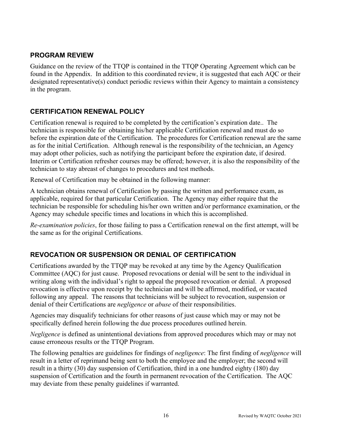# <span id="page-23-0"></span>**PROGRAM REVIEW**

Guidance on the review of the TTQP is contained in the TTQP Operating Agreement which can be found in the Appendix. In addition to this coordinated review, it is suggested that each AQC or their designated representative(s) conduct periodic reviews within their Agency to maintain a consistency in the program.

# <span id="page-23-1"></span>**CERTIFICATION RENEWAL POLICY**

Certification renewal is required to be completed by the certification's expiration date.. The technician is responsible for obtaining his/her applicable Certification renewal and must do so before the expiration date of the Certification. The procedures for Certification renewal are the same as for the initial Certification. Although renewal is the responsibility of the technician, an Agency may adopt other policies, such as notifying the participant before the expiration date, if desired. Interim or Certification refresher courses may be offered; however, it is also the responsibility of the technician to stay abreast of changes to procedures and test methods.

Renewal of Certification may be obtained in the following manner:

A technician obtains renewal of Certification by passing the written and performance exam, as applicable, required for that particular Certification. The Agency may either require that the technician be responsible for scheduling his/her own written and/or performance examination, or the Agency may schedule specific times and locations in which this is accomplished.

*Re-examination policies*, for those failing to pass a Certification renewal on the first attempt, will be the same as for the original Certifications.

# <span id="page-23-2"></span>**REVOCATION OR SUSPENSION OR DENIAL OF CERTIFICATION**

Certifications awarded by the TTQP may be revoked at any time by the Agency Qualification Committee (AQC) for just cause. Proposed revocations or denial will be sent to the individual in writing along with the individual's right to appeal the proposed revocation or denial. A proposed revocation is effective upon receipt by the technician and will be affirmed, modified, or vacated following any appeal. The reasons that technicians will be subject to revocation, suspension or denial of their Certifications are *negligence* or *abuse* of their responsibilities.

Agencies may disqualify technicians for other reasons of just cause which may or may not be specifically defined herein following the due process procedures outlined herein.

*Negligence* is defined as unintentional deviations from approved procedures which may or may not cause erroneous results or the TTQP Program.

The following penalties are guidelines for findings of *negligence*: The first finding of *negligence* will result in a letter of reprimand being sent to both the employee and the employer; the second will result in a thirty (30) day suspension of Certification, third in a one hundred eighty (180) day suspension of Certification and the fourth in permanent revocation of the Certification. The AQC may deviate from these penalty guidelines if warranted.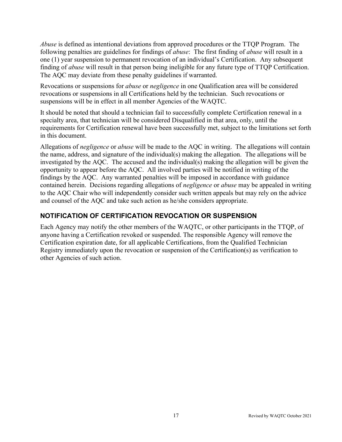*Abuse* is defined as intentional deviations from approved procedures or the TTQP Program. The following penalties are guidelines for findings of *abuse*: The first finding of *abuse* will result in a one (1) year suspension to permanent revocation of an individual's Certification. Any subsequent finding of *abuse* will result in that person being ineligible for any future type of TTQP Certification. The AQC may deviate from these penalty guidelines if warranted.

Revocations or suspensions for *abuse* or *negligence* in one Qualification area will be considered revocations or suspensions in all Certifications held by the technician. Such revocations or suspensions will be in effect in all member Agencies of the WAQTC.

It should be noted that should a technician fail to successfully complete Certification renewal in a specialty area, that technician will be considered Disqualified in that area, only, until the requirements for Certification renewal have been successfully met, subject to the limitations set forth in this document.

Allegations of *negligence* or *abuse* will be made to the AQC in writing. The allegations will contain the name, address, and signature of the individual(s) making the allegation. The allegations will be investigated by the AQC. The accused and the individual(s) making the allegation will be given the opportunity to appear before the AQC. All involved parties will be notified in writing of the findings by the AQC. Any warranted penalties will be imposed in accordance with guidance contained herein. Decisions regarding allegations of *negligence* or *abuse* may be appealed in writing to the AQC Chair who will independently consider such written appeals but may rely on the advice and counsel of the AQC and take such action as he/she considers appropriate.

# <span id="page-24-0"></span>**NOTIFICATION OF CERTIFICATION REVOCATION OR SUSPENSION**

Each Agency may notify the other members of the WAQTC, or other participants in the TTQP, of anyone having a Certification revoked or suspended. The responsible Agency will remove the Certification expiration date, for all applicable Certifications, from the Qualified Technician Registry immediately upon the revocation or suspension of the Certification(s) as verification to other Agencies of such action.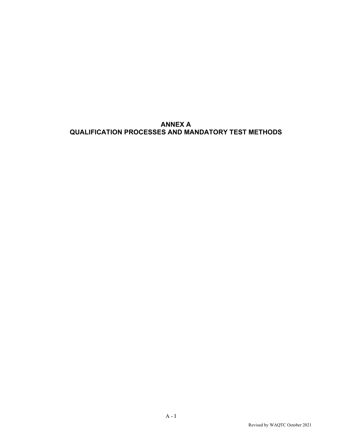# <span id="page-26-0"></span>**ANNEX A QUALIFICATION PROCESSES AND MANDATORY TEST METHODS**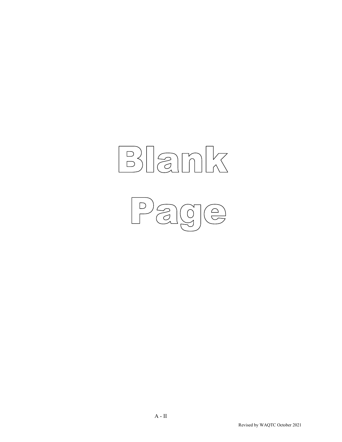# Blank

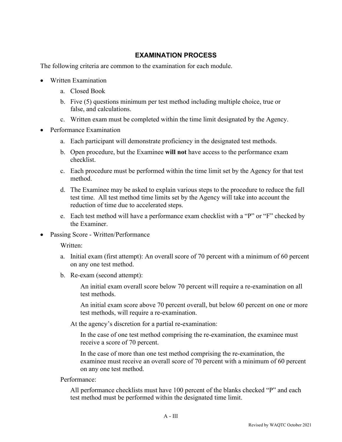# **EXAMINATION PROCESS**

<span id="page-28-0"></span>The following criteria are common to the examination for each module.

- Written Examination
	- a. Closed Book
	- b. Five (5) questions minimum per test method including multiple choice, true or false, and calculations.
	- c. Written exam must be completed within the time limit designated by the Agency.
- Performance Examination
	- a. Each participant will demonstrate proficiency in the designated test methods.
	- b. Open procedure, but the Examinee **will not** have access to the performance exam checklist.
	- c. Each procedure must be performed within the time limit set by the Agency for that test method.
	- d. The Examinee may be asked to explain various steps to the procedure to reduce the full test time. All test method time limits set by the Agency will take into account the reduction of time due to accelerated steps.
	- e. Each test method will have a performance exam checklist with a "P" or "F" checked by the Examiner.
- Passing Score Written/Performance

Written:

- a. Initial exam (first attempt): An overall score of 70 percent with a minimum of 60 percent on any one test method.
- b. Re-exam (second attempt):

An initial exam overall score below 70 percent will require a re-examination on all test methods.

An initial exam score above 70 percent overall, but below 60 percent on one or more test methods, will require a re-examination.

At the agency's discretion for a partial re-examination:

In the case of one test method comprising the re-examination, the examinee must receive a score of 70 percent.

In the case of more than one test method comprising the re-examination, the examinee must receive an overall score of 70 percent with a minimum of 60 percent on any one test method.

Performance:

All performance checklists must have 100 percent of the blanks checked "P" and each test method must be performed within the designated time limit.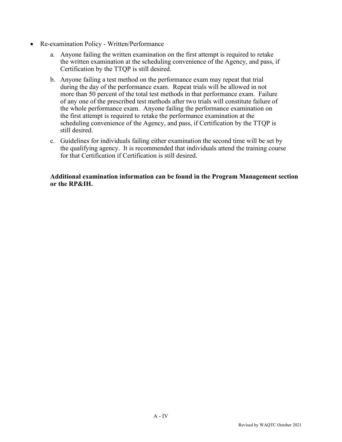- Re-examination Policy Written/Performance
	- a. Anyone failing the written examination on the first attempt is required to retake the written examination at the scheduling convenience of the Agency, and pass, if Certification by the TTQP is still desired.
	- b. Anyone failing a test method on the performance exam may repeat that trial during the day of the performance exam. Repeat trials will be allowed in not more than 50 percent of the total test methods in that performance exam. Failure of any one of the prescribed test methods after two trials will constitute failure of the whole performance exam. Anyone failing the performance examination on the first attempt is required to retake the performance examination at the scheduling convenience of the Agency, and pass, if Certification by the TTQP is still desired.
	- c. Guidelines for individuals failing either examination the second time will be set by the qualifying agency. It is recommended that individuals attend the training course for that Certification if Certification is still desired.

**Additional examination information can be found in the Program Management section or the RP&IH.**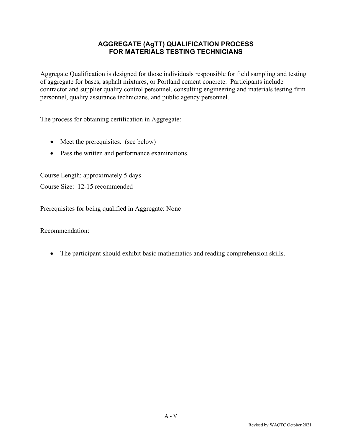# **AGGREGATE (AgTT) QUALIFICATION PROCESS FOR MATERIALS TESTING TECHNICIANS**

<span id="page-30-0"></span>Aggregate Qualification is designed for those individuals responsible for field sampling and testing of aggregate for bases, asphalt mixtures, or Portland cement concrete. Participants include contractor and supplier quality control personnel, consulting engineering and materials testing firm personnel, quality assurance technicians, and public agency personnel.

The process for obtaining certification in Aggregate:

- Meet the prerequisites. (see below)
- Pass the written and performance examinations.

Course Length: approximately 5 days Course Size: 12-15 recommended

Prerequisites for being qualified in Aggregate: None

Recommendation:

• The participant should exhibit basic mathematics and reading comprehension skills.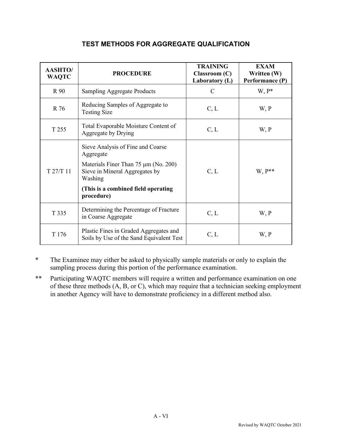| <b>AASHTO/</b><br><b>WAQTC</b> | <b>PROCEDURE</b>                                                                       | <b>TRAINING</b><br>$\mathbf{Classroom}\left(\mathbf{C}\right)$<br>Laboratory (L) | <b>EXAM</b><br>Written (W)<br>Performance (P) |
|--------------------------------|----------------------------------------------------------------------------------------|----------------------------------------------------------------------------------|-----------------------------------------------|
| R 90                           | <b>Sampling Aggregate Products</b>                                                     | $\mathcal{C}$                                                                    | $W, P^*$                                      |
| R 76                           | Reducing Samples of Aggregate to<br><b>Testing Size</b>                                | C, L                                                                             | W, P                                          |
| T 255                          | Total Evaporable Moisture Content of<br>Aggregate by Drying                            | C, L                                                                             | W, P                                          |
|                                | Sieve Analysis of Fine and Coarse<br>Aggregate<br>Materials Finer Than 75 µm (No. 200) |                                                                                  |                                               |
| T 27/T 11                      | Sieve in Mineral Aggregates by<br>Washing                                              | C, L                                                                             | $W, P^{**}$                                   |
|                                | (This is a combined field operating<br>procedure)                                      |                                                                                  |                                               |
| T 335                          | Determining the Percentage of Fracture<br>in Coarse Aggregate                          | C, L                                                                             | W, P                                          |
| T 176                          | Plastic Fines in Graded Aggregates and<br>Soils by Use of the Sand Equivalent Test     | C, L                                                                             | W, P                                          |

# **TEST METHODS FOR AGGREGATE QUALIFICATION**

\* The Examinee may either be asked to physically sample materials or only to explain the sampling process during this portion of the performance examination.

\*\* Participating WAQTC members will require a written and performance examination on one of these three methods (A, B, or C), which may require that a technician seeking employment in another Agency will have to demonstrate proficiency in a different method also.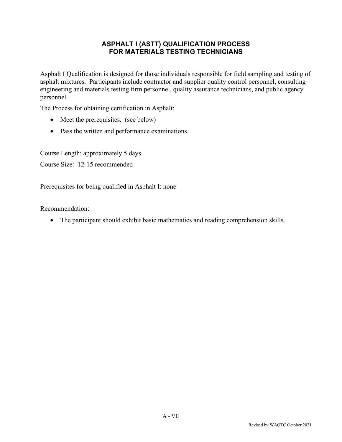# **ASPHALT I (ASTT) QUALIFICATION PROCESS FOR MATERIALS TESTING TECHNICIANS**

<span id="page-32-0"></span>Asphalt I Qualification is designed for those individuals responsible for field sampling and testing of asphalt mixtures. Participants include contractor and supplier quality control personnel, consulting engineering and materials testing firm personnel, quality assurance technicians, and public agency personnel.

The Process for obtaining certification in Asphalt:

- Meet the prerequisites. (see below)
- Pass the written and performance examinations.

Course Length: approximately 5 days

Course Size: 12-15 recommended

Prerequisites for being qualified in Asphalt I: none

Recommendation:

• The participant should exhibit basic mathematics and reading comprehension skills.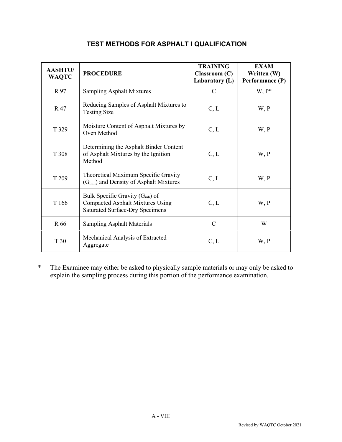| <b>AASHTO/</b><br><b>WAQTC</b> | <b>PROCEDURE</b>                                                                                                  | <b>TRAINING</b><br>Classroom (C)<br>Laboratory (L) | <b>EXAM</b><br>Written (W)<br>Performance (P) |
|--------------------------------|-------------------------------------------------------------------------------------------------------------------|----------------------------------------------------|-----------------------------------------------|
| R 97                           | <b>Sampling Asphalt Mixtures</b>                                                                                  | $\mathcal{C}$                                      | $W, P^*$                                      |
| R 47                           | Reducing Samples of Asphalt Mixtures to<br><b>Testing Size</b>                                                    | C, L                                               | W, P                                          |
| T 329                          | Moisture Content of Asphalt Mixtures by<br>Oven Method                                                            | C, L                                               | W, P                                          |
| T 308                          | Determining the Asphalt Binder Content<br>of Asphalt Mixtures by the Ignition<br>Method                           | C, L                                               | W, P                                          |
| T 209                          | Theoretical Maximum Specific Gravity<br>$(Gmm)$ and Density of Asphalt Mixtures                                   | C, L                                               | W, P                                          |
| T 166                          | Bulk Specific Gravity $(G_{mb})$ of<br><b>Compacted Asphalt Mixtures Using</b><br>Saturated Surface-Dry Specimens | C, L                                               | W, P                                          |
| R 66                           | <b>Sampling Asphalt Materials</b>                                                                                 | $\mathbf C$                                        | W                                             |
| T 30                           | Mechanical Analysis of Extracted<br>Aggregate                                                                     | C, L                                               | W, P                                          |

# **TEST METHODS FOR ASPHALT I QUALIFICATION**

\* The Examinee may either be asked to physically sample materials or may only be asked to explain the sampling process during this portion of the performance examination.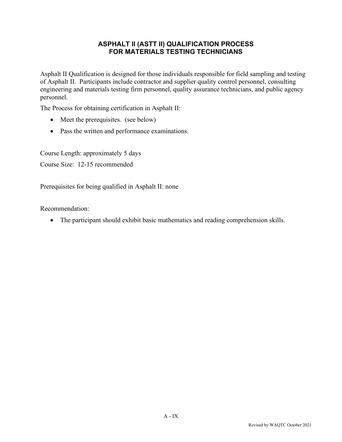# **ASPHALT II (ASTT II) QUALIFICATION PROCESS FOR MATERIALS TESTING TECHNICIANS**

<span id="page-34-0"></span>Asphalt II Qualification is designed for those individuals responsible for field sampling and testing of Asphalt II. Participants include contractor and supplier quality control personnel, consulting engineering and materials testing firm personnel, quality assurance technicians, and public agency personnel.

The Process for obtaining certification in Asphalt II:

- Meet the prerequisites. (see below)
- Pass the written and performance examinations.

Course Length: approximately 5 days

Course Size: 12-15 recommended

Prerequisites for being qualified in Asphalt II: none

Recommendation:

• The participant should exhibit basic mathematics and reading comprehension skills.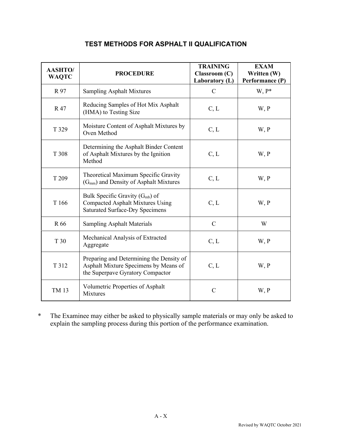| <b>AASHTO/</b><br><b>WAQTC</b> | <b>PROCEDURE</b>                                                                                                      | <b>TRAINING</b><br>Classroom (C)<br>Laboratory (L) | <b>EXAM</b><br>Written (W)<br>Performance (P) |
|--------------------------------|-----------------------------------------------------------------------------------------------------------------------|----------------------------------------------------|-----------------------------------------------|
| R 97                           | <b>Sampling Asphalt Mixtures</b>                                                                                      | $\mathcal{C}$                                      | $W, P^*$                                      |
| R 47                           | Reducing Samples of Hot Mix Asphalt<br>(HMA) to Testing Size                                                          | C, L                                               | W, P                                          |
| T 329                          | Moisture Content of Asphalt Mixtures by<br>Oven Method                                                                | C, L                                               | W, P                                          |
| T 308                          | Determining the Asphalt Binder Content<br>of Asphalt Mixtures by the Ignition<br>Method                               | C, L                                               | W, P                                          |
| T 209                          | Theoretical Maximum Specific Gravity<br>(G <sub>mm</sub> ) and Density of Asphalt Mixtures                            |                                                    | W, P                                          |
| T 166                          | Bulk Specific Gravity $(G_{mb})$ of<br><b>Compacted Asphalt Mixtures Using</b><br>Saturated Surface-Dry Specimens     | C, L                                               | W, P                                          |
| R 66                           | <b>Sampling Asphalt Materials</b>                                                                                     | $\mathcal{C}$                                      | W                                             |
| T 30                           | Mechanical Analysis of Extracted<br>Aggregate                                                                         | C, L                                               | W, P                                          |
| T 312                          | Preparing and Determining the Density of<br>Asphalt Mixture Specimens by Means of<br>the Superpave Gyratory Compactor |                                                    | W, P                                          |
| TM 13                          | Volumetric Properties of Asphalt<br><b>Mixtures</b>                                                                   | $\mathcal{C}$                                      | W, P                                          |

\* The Examinee may either be asked to physically sample materials or may only be asked to explain the sampling process during this portion of the performance examination.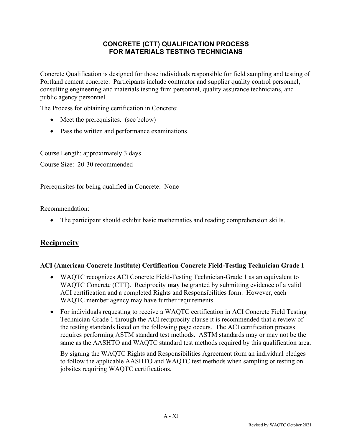# **CONCRETE (CTT) QUALIFICATION PROCESS FOR MATERIALS TESTING TECHNICIANS**

<span id="page-36-0"></span>Concrete Qualification is designed for those individuals responsible for field sampling and testing of Portland cement concrete. Participants include contractor and supplier quality control personnel, consulting engineering and materials testing firm personnel, quality assurance technicians, and public agency personnel.

The Process for obtaining certification in Concrete:

- Meet the prerequisites. (see below)
- Pass the written and performance examinations

Course Length: approximately 3 days Course Size: 20-30 recommended

Prerequisites for being qualified in Concrete: None

Recommendation:

• The participant should exhibit basic mathematics and reading comprehension skills.

# **Reciprocity**

## **ACI (American Concrete Institute) Certification Concrete Field-Testing Technician Grade 1**

- WAQTC recognizes ACI Concrete Field-Testing Technician-Grade 1 as an equivalent to WAQTC Concrete (CTT). Reciprocity **may be** granted by submitting evidence of a valid ACI certification and a completed Rights and Responsibilities form. However, each WAQTC member agency may have further requirements.
- For individuals requesting to receive a WAQTC certification in ACI Concrete Field Testing Technician-Grade 1 through the ACI reciprocity clause it is recommended that a review of the testing standards listed on the following page occurs. The ACI certification process requires performing ASTM standard test methods. ASTM standards may or may not be the same as the AASHTO and WAQTC standard test methods required by this qualification area.

By signing the WAQTC Rights and Responsibilities Agreement form an individual pledges to follow the applicable AASHTO and WAQTC test methods when sampling or testing on jobsites requiring WAQTC certifications.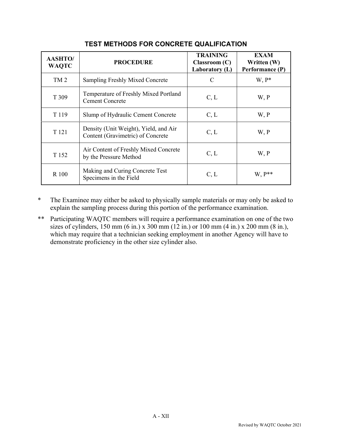| <b>AASHTO/</b><br><b>WAQTC</b> | <b>PROCEDURE</b>                                                           | <b>TRAINING</b><br>Classroom(C)<br>Laboratory (L) | <b>EXAM</b><br>Written (W)<br>Performance (P) |
|--------------------------------|----------------------------------------------------------------------------|---------------------------------------------------|-----------------------------------------------|
| TM <sub>2</sub>                | <b>Sampling Freshly Mixed Concrete</b>                                     | $\mathcal{C}_{\mathcal{C}}$                       | $W, P^*$                                      |
| T 309                          | Temperature of Freshly Mixed Portland<br><b>Cement Concrete</b>            | C, L                                              | W, P                                          |
| T 119                          | Slump of Hydraulic Cement Concrete                                         | C, L                                              | W, P                                          |
| T 121                          | Density (Unit Weight), Yield, and Air<br>Content (Gravimetric) of Concrete | C, L                                              | W, P                                          |
| T 152                          | Air Content of Freshly Mixed Concrete<br>by the Pressure Method            | C, L                                              | W, P                                          |
| R 100                          | Making and Curing Concrete Test<br>Specimens in the Field                  |                                                   | $W, P^{**}$                                   |

# **TEST METHODS FOR CONCRETE QUALIFICATION**

- \* The Examinee may either be asked to physically sample materials or may only be asked to explain the sampling process during this portion of the performance examination.
- \*\* Participating WAQTC members will require a performance examination on one of the two sizes of cylinders, 150 mm (6 in.) x 300 mm (12 in.) or 100 mm (4 in.) x 200 mm (8 in.), which may require that a technician seeking employment in another Agency will have to demonstrate proficiency in the other size cylinder also.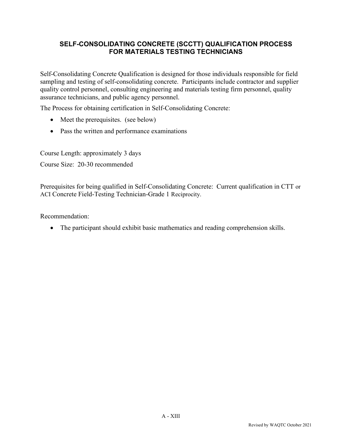# <span id="page-38-0"></span>**SELF-CONSOLIDATING CONCRETE (SCCTT) QUALIFICATION PROCESS FOR MATERIALS TESTING TECHNICIANS**

Self-Consolidating Concrete Qualification is designed for those individuals responsible for field sampling and testing of self-consolidating concrete. Participants include contractor and supplier quality control personnel, consulting engineering and materials testing firm personnel, quality assurance technicians, and public agency personnel.

The Process for obtaining certification in Self-Consolidating Concrete:

- Meet the prerequisites. (see below)
- Pass the written and performance examinations

Course Length: approximately 3 days

Course Size: 20-30 recommended

Prerequisites for being qualified in Self-Consolidating Concrete: Current qualification in CTT or ACI Concrete Field-Testing Technician-Grade 1 Reciprocity.

Recommendation:

• The participant should exhibit basic mathematics and reading comprehension skills.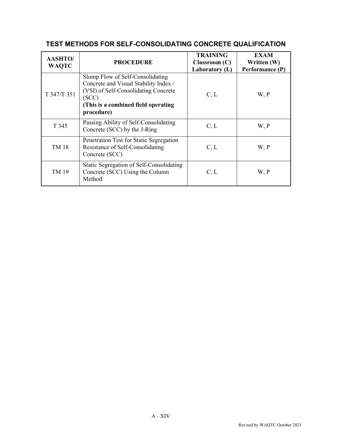# **TEST METHODS FOR SELF-CONSOLIDATING CONCRETE QUALIFICATION**

| <b>AASHTO/</b><br><b>WAQTC</b> | <b>PROCEDURE</b>                                                                                                                                                                 | <b>TRAINING</b><br>$\mathbf{Classroom}\left(\mathbf{C}\right)$<br>Laboratory $(L)$ | <b>EXAM</b><br>Written (W)<br>Performance (P) |
|--------------------------------|----------------------------------------------------------------------------------------------------------------------------------------------------------------------------------|------------------------------------------------------------------------------------|-----------------------------------------------|
| T 347/T 351                    | Slump Flow of Self-Consolidating<br>Concrete and Visual Stability Index /<br>(VSI) of Self-Consolidating Concrete<br>(SCC)<br>(This is a combined field operating)<br>procedure) | C, L                                                                               | W, P                                          |
| T 345                          | Passing Ability of Self-Consolidating<br>Concrete (SCC) by the J-Ring                                                                                                            | C, L                                                                               | W, P                                          |
| TM 18                          | Penetration Test for Static Segregation<br>Resistance of Self-Consolidating<br>Concrete (SCC)                                                                                    | C, L                                                                               | W, P                                          |
| TM 19                          | Static Segregation of Self-Consolidating<br>Concrete (SCC) Using the Column<br>Method                                                                                            | C, L                                                                               | W, P                                          |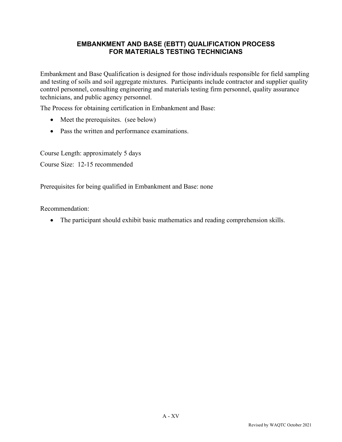# **EMBANKMENT AND BASE (EBTT) QUALIFICATION PROCESS FOR MATERIALS TESTING TECHNICIANS**

<span id="page-40-0"></span>Embankment and Base Qualification is designed for those individuals responsible for field sampling and testing of soils and soil aggregate mixtures. Participants include contractor and supplier quality control personnel, consulting engineering and materials testing firm personnel, quality assurance technicians, and public agency personnel.

The Process for obtaining certification in Embankment and Base:

- Meet the prerequisites. (see below)
- Pass the written and performance examinations.

Course Length: approximately 5 days Course Size: 12-15 recommended

Prerequisites for being qualified in Embankment and Base: none

Recommendation:

• The participant should exhibit basic mathematics and reading comprehension skills.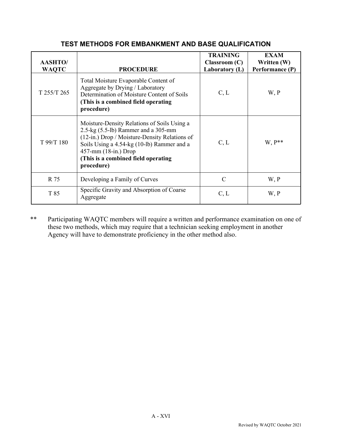| <b>AASHTO/</b><br><b>WAQTC</b> | <b>PROCEDURE</b>                                                                                                                                                                                                                                                     | <b>TRAINING</b><br>$\mathbf{Classroom}(\mathbf{C})$<br>Laboratory (L) | <b>EXAM</b><br>Written (W)<br>Performance (P) |
|--------------------------------|----------------------------------------------------------------------------------------------------------------------------------------------------------------------------------------------------------------------------------------------------------------------|-----------------------------------------------------------------------|-----------------------------------------------|
| T 255/T 265                    | Total Moisture Evaporable Content of<br>Aggregate by Drying / Laboratory<br>Determination of Moisture Content of Soils<br>(This is a combined field operating<br>procedure)                                                                                          | C, L                                                                  | W, P                                          |
| T 99/T 180                     | Moisture-Density Relations of Soils Using a<br>$2.5$ -kg $(5.5$ -lb) Rammer and a 305-mm<br>(12-in.) Drop / Moisture-Density Relations of<br>Soils Using a 4.54-kg (10-lb) Rammer and a<br>457-mm (18-in.) Drop<br>(This is a combined field operating<br>procedure) | C, L                                                                  | $W, P^{**}$                                   |
| R 75                           | Developing a Family of Curves                                                                                                                                                                                                                                        | $\mathcal{C}$                                                         | W, P                                          |
| T 85                           | Specific Gravity and Absorption of Coarse<br>Aggregate                                                                                                                                                                                                               | C, L                                                                  | W, P                                          |

# **TEST METHODS FOR EMBANKMENT AND BASE QUALIFICATION**

\*\* Participating WAQTC members will require a written and performance examination on one of these two methods, which may require that a technician seeking employment in another Agency will have to demonstrate proficiency in the other method also.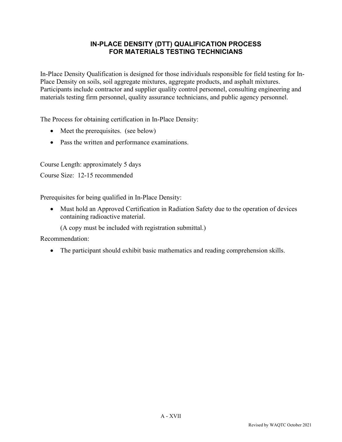# **IN-PLACE DENSITY (DTT) QUALIFICATION PROCESS FOR MATERIALS TESTING TECHNICIANS**

<span id="page-42-0"></span>In-Place Density Qualification is designed for those individuals responsible for field testing for In-Place Density on soils, soil aggregate mixtures, aggregate products, and asphalt mixtures. Participants include contractor and supplier quality control personnel, consulting engineering and materials testing firm personnel, quality assurance technicians, and public agency personnel.

The Process for obtaining certification in In-Place Density:

- Meet the prerequisites. (see below)
- Pass the written and performance examinations.

Course Length: approximately 5 days

Course Size: 12-15 recommended

Prerequisites for being qualified in In-Place Density:

• Must hold an Approved Certification in Radiation Safety due to the operation of devices containing radioactive material.

(A copy must be included with registration submittal.)

Recommendation:

• The participant should exhibit basic mathematics and reading comprehension skills.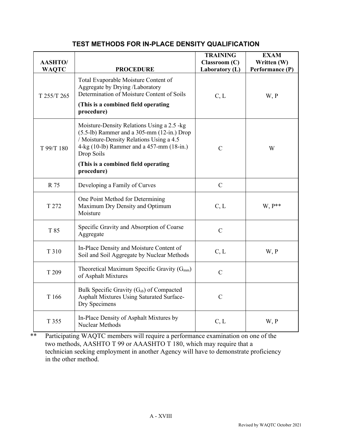# **TEST METHODS FOR IN-PLACE DENSITY QUALIFICATION**

| <b>AASHTO/</b><br><b>WAQTC</b> | <b>PROCEDURE</b>                                                                                                                                                                                                                                         | <b>TRAINING</b><br>$\mathbf{Classroom}\left(\mathbf{C}\right)$<br>Laboratory (L) | <b>EXAM</b><br>Written (W)<br>Performance (P) |
|--------------------------------|----------------------------------------------------------------------------------------------------------------------------------------------------------------------------------------------------------------------------------------------------------|----------------------------------------------------------------------------------|-----------------------------------------------|
| T 255/T 265                    | Total Evaporable Moisture Content of<br>Aggregate by Drying /Laboratory<br>Determination of Moisture Content of Soils<br>(This is a combined field operating<br>procedure)                                                                               | C, L                                                                             | W, P                                          |
| T 99/T 180                     | Moisture-Density Relations Using a 2.5 -kg<br>$(5.5-lb)$ Rammer and a 305-mm $(12-in.)$ Drop<br>/ Moisture-Density Relations Using a 4.5<br>4-kg (10-lb) Rammer and a 457-mm (18-in.)<br>Drop Soils<br>(This is a combined field operating<br>procedure) |                                                                                  | W                                             |
| R 75                           | Developing a Family of Curves                                                                                                                                                                                                                            | $\mathcal{C}$                                                                    |                                               |
| T 272                          | One Point Method for Determining<br>Maximum Dry Density and Optimum<br>C, L<br>Moisture                                                                                                                                                                  |                                                                                  | $W, P^{**}$                                   |
| T 85                           | Specific Gravity and Absorption of Coarse<br>$\mathcal{C}$<br>Aggregate                                                                                                                                                                                  |                                                                                  |                                               |
| T 310                          | In-Place Density and Moisture Content of<br>C, L<br>Soil and Soil Aggregate by Nuclear Methods                                                                                                                                                           |                                                                                  | W, P                                          |
| T 209                          | Theoretical Maximum Specific Gravity $(G_{mm})$<br>$\mathbf C$<br>of Asphalt Mixtures                                                                                                                                                                    |                                                                                  |                                               |
| T 166                          | Bulk Specific Gravity (G <sub>sb</sub> ) of Compacted<br>Asphalt Mixtures Using Saturated Surface-<br>Dry Specimens                                                                                                                                      | $\mathcal{C}$                                                                    |                                               |
| T 355                          | In-Place Density of Asphalt Mixtures by<br>Nuclear Methods                                                                                                                                                                                               | C, L                                                                             | W, P                                          |

\*\* Participating WAQTC members will require a performance examination on one of the two methods, AASHTO T 99 or AAASHTO T 180, which may require that a technician seeking employment in another Agency will have to demonstrate proficiency in the other method.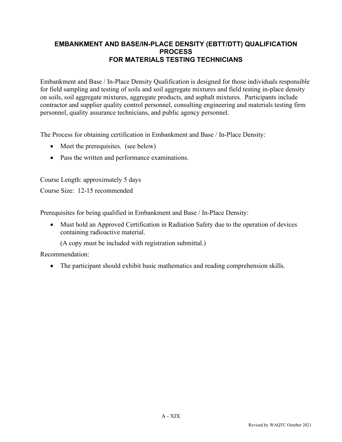# <span id="page-44-0"></span>**EMBANKMENT AND BASE/IN-PLACE DENSITY (EBTT/DTT) QUALIFICATION PROCESS FOR MATERIALS TESTING TECHNICIANS**

Embankment and Base / In-Place Density Qualification is designed for those individuals responsible for field sampling and testing of soils and soil aggregate mixtures and field testing in-place density on soils, soil aggregate mixtures, aggregate products, and asphalt mixtures. Participants include contractor and supplier quality control personnel, consulting engineering and materials testing firm personnel, quality assurance technicians, and public agency personnel.

The Process for obtaining certification in Embankment and Base / In-Place Density:

- Meet the prerequisites. (see below)
- Pass the written and performance examinations.

Course Length: approximately 5 days

Course Size: 12-15 recommended

Prerequisites for being qualified in Embankment and Base / In-Place Density:

• Must hold an Approved Certification in Radiation Safety due to the operation of devices containing radioactive material.

(A copy must be included with registration submittal.)

Recommendation:

• The participant should exhibit basic mathematics and reading comprehension skills.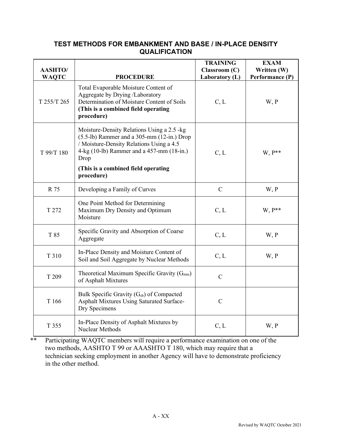## **TEST METHODS FOR EMBANKMENT AND BASE / IN-PLACE DENSITY QUALIFICATION**

| <b>AASHTO/</b><br><b>WAQTC</b> | <b>PROCEDURE</b>                                                                                                                                                                                                                               | <b>TRAINING</b><br>Classroom (C)<br>Laboratory (L) | <b>EXAM</b><br>Written (W)<br>Performance (P) |
|--------------------------------|------------------------------------------------------------------------------------------------------------------------------------------------------------------------------------------------------------------------------------------------|----------------------------------------------------|-----------------------------------------------|
| T 255/T 265                    | Total Evaporable Moisture Content of<br>Aggregate by Drying /Laboratory<br>Determination of Moisture Content of Soils<br>(This is a combined field operating<br>procedure)                                                                     | C, L                                               | W, P                                          |
| T 99/T 180                     | Moisture-Density Relations Using a 2.5 -kg<br>(5.5-lb) Rammer and a 305-mm (12-in.) Drop<br>/ Moisture-Density Relations Using a 4.5<br>4-kg (10-lb) Rammer and a 457-mm (18-in.)<br>Drop<br>(This is a combined field operating<br>procedure) | C, L                                               | W. P**                                        |
| R 75                           | Developing a Family of Curves                                                                                                                                                                                                                  | $\mathcal{C}$                                      | W, P                                          |
| T 272                          | One Point Method for Determining<br>Maximum Dry Density and Optimum<br>Moisture                                                                                                                                                                | C, L                                               | $W, P^{**}$                                   |
| T 85                           | Specific Gravity and Absorption of Coarse<br>Aggregate                                                                                                                                                                                         | C, L                                               | W, P                                          |
| T 310                          | In-Place Density and Moisture Content of<br>Soil and Soil Aggregate by Nuclear Methods                                                                                                                                                         | C, L                                               | W, P                                          |
| T 209                          | Theoretical Maximum Specific Gravity $(G_{mm})$<br>of Asphalt Mixtures                                                                                                                                                                         | $\mathcal{C}$                                      |                                               |
| T 166                          | Bulk Specific Gravity $(G_{sb})$ of Compacted<br>Asphalt Mixtures Using Saturated Surface-<br>Dry Specimens                                                                                                                                    | $\mathcal{C}$                                      |                                               |
| T 355                          | In-Place Density of Asphalt Mixtures by<br>Nuclear Methods                                                                                                                                                                                     |                                                    | W, P                                          |

\*\* Participating WAQTC members will require a performance examination on one of the two methods, AASHTO T 99 or AAASHTO T 180, which may require that a technician seeking employment in another Agency will have to demonstrate proficiency in the other method.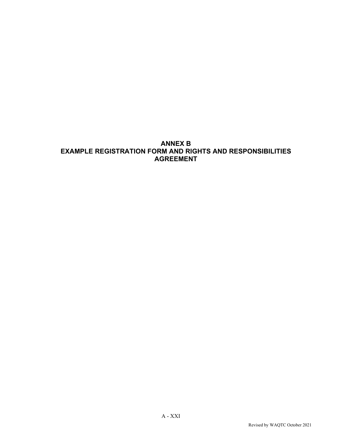# <span id="page-46-0"></span>**ANNEX B EXAMPLE REGISTRATION FORM AND RIGHTS AND RESPONSIBILITIES AGREEMENT**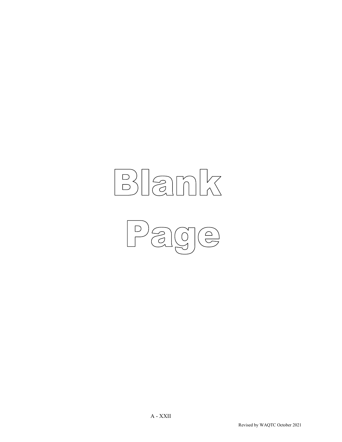# Blank

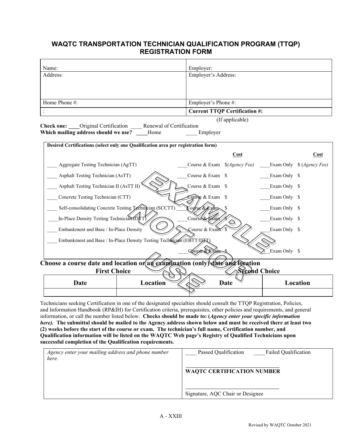# <span id="page-48-0"></span>**WAQTC TRANSPORTATION TECHNICIAN QUALIFICATION PROGRAM (TTQP) REGISTRATION FORM**

| Name:                                                                                                                                                                                                                                       |                                                                         | Employer:           |                                      |                                    |
|---------------------------------------------------------------------------------------------------------------------------------------------------------------------------------------------------------------------------------------------|-------------------------------------------------------------------------|---------------------|--------------------------------------|------------------------------------|
| Address:                                                                                                                                                                                                                                    |                                                                         | Employer's Address: |                                      |                                    |
|                                                                                                                                                                                                                                             |                                                                         |                     |                                      |                                    |
| Home Phone #:                                                                                                                                                                                                                               |                                                                         | Employer's Phone #: |                                      |                                    |
| $\vdots$                                                                                                                                                                                                                                    |                                                                         |                     | <b>Current TTQP Certification #:</b> |                                    |
|                                                                                                                                                                                                                                             |                                                                         |                     | (If applicable)                      |                                    |
| Original Certification<br><b>Check one:</b><br>Which mailing address should we use?                                                                                                                                                         | Renewal of Certification<br>Home                                        | Employer            |                                      |                                    |
| Desired Certifications (select only one Qualification area per registration form)                                                                                                                                                           |                                                                         |                     |                                      |                                    |
|                                                                                                                                                                                                                                             |                                                                         |                     | <b>Cost</b>                          | Cost                               |
| Aggregate Testing Technician (AgTT)                                                                                                                                                                                                         |                                                                         |                     | Course & Exam \$(Agency Fee)         | Exam Only \$ ( <i>Agency Fee</i> ) |
| Asphalt Testing Technician (AsTT)                                                                                                                                                                                                           | Course & Exam \$                                                        |                     | Exam Only \$                         |                                    |
| Asphalt Testing Technician II (AsTT II)                                                                                                                                                                                                     | Course & Exam \$                                                        |                     | Exam Only \$                         |                                    |
| Concrete Testing Technician (CTT)                                                                                                                                                                                                           | ourse & Exam \$                                                         |                     | Exam Only \$                         |                                    |
| Self-consolidating Concrete Testing Lechnician (SCCTT)                                                                                                                                                                                      |                                                                         |                     | Exam Only \$                         |                                    |
| In-Place Density Testing Technician (DTT)<br>Course Se Exa<br>Exam Only \$                                                                                                                                                                  |                                                                         |                     |                                      |                                    |
|                                                                                                                                                                                                                                             | Course & Exam<br>Embankment and Base / In-Place Density<br>Exam Only \$ |                     |                                      |                                    |
|                                                                                                                                                                                                                                             | Embankment and Base / In-Place Density Testing Technician (EBTT/DAT)    |                     |                                      |                                    |
|                                                                                                                                                                                                                                             |                                                                         | Course & Exam       |                                      | Exam Only \$                       |
| Choose a course date and location or an examination (only) date and location                                                                                                                                                                |                                                                         |                     |                                      |                                    |
| <b>First Choice</b>                                                                                                                                                                                                                         |                                                                         |                     | Second Choice                        |                                    |
| <b>Date</b>                                                                                                                                                                                                                                 | Location                                                                |                     | <b>Date</b>                          | Location                           |
|                                                                                                                                                                                                                                             |                                                                         |                     |                                      |                                    |
| Technicians seeking Certification in one of the designated specialties should consult the TTQP Registration, Policies,                                                                                                                      |                                                                         |                     |                                      |                                    |
| and Information Handbook (RP&IH) for Certification criteria, prerequisites, other policies and requirements, and general<br>information, or call the number listed below. Checks should be made to: (Agency enter your specific information |                                                                         |                     |                                      |                                    |
| here). The submittal should be mailed to the Agency address shown below and must be received there at least two                                                                                                                             |                                                                         |                     |                                      |                                    |
| (2) weeks before the start of the course or exam. The technician's full name, Certification number, and                                                                                                                                     |                                                                         |                     |                                      |                                    |
| Qualification information will be listed on the WAQTC Web page's Registry of Qualified Technicians upon<br>successful completion of the Qualification requirements.                                                                         |                                                                         |                     |                                      |                                    |

| Agency enter your mailing address and phone number<br>here. | Passed Qualification<br>Failed Qualification |
|-------------------------------------------------------------|----------------------------------------------|
|                                                             | <b>WAQTC CERTIFICATION NUMBER</b>            |
|                                                             | Signature, AQC Chair or Designee             |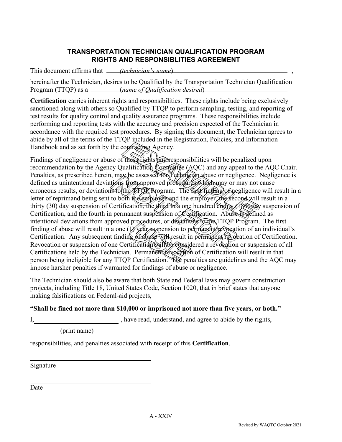# **TRANSPORTATION TECHNICIAN QUALIFICATION PROGRAM RIGHTS AND RESPONSIBLITIES AGREEMENT**

<span id="page-49-0"></span>This document affirms that *(technician's name)* 

hereinafter the Technician, desires to be Qualified by the Transportation Technician Qualification Program (TTQP) as a \_\_\_\_\_\_\_\_(*name of Qualification desired*)

**Certification** carries inherent rights and responsibilities. These rights include being exclusively sanctioned along with others so Qualified by TTQP to perform sampling, testing, and reporting of test results for quality control and quality assurance programs. These responsibilities include performing and reporting tests with the accuracy and precision expected of the Technician in accordance with the required test procedures. By signing this document, the Technician agrees to abide by all of the terms of the TTQP included in the Registration, Policies, and Information Handbook and as set forth by the contracting Agency.

Findings of negligence or abuse of these rights and responsibilities will be penalized upon recommendation by the Agency Qualification Committee (AQC) and any appeal to the AQC Chair. Penalties, as prescribed herein, may be assessed for Technician abuse or negligence. Negligence is defined as unintentional deviations from approved procedures which may or may not cause erroneous results, or deviations to the TTQP Program. The first finding of negligence will result in a letter of reprimand being sent to both the employee and the employer, the second will result in a thirty (30) day suspension of Certification, the third in a one hundred eighty (180) day suspension of Certification, and the fourth in permanent suspension of Certification. Abuse is defined as intentional deviations from approved procedures, or deviations to the TTQP Program. The first finding of abuse will result in a one ( $\frac{1}{\sqrt{2}}$  vear suspension to permanent/revocation of an individual's Certification. Any subsequent finding of abuse will result in permanent revocation of Certification. Revocation or suspension of one Certification will be considered a revocation or suspension of all Certifications held by the Technician. Permanent revocation of Certification will result in that person being ineligible for any TTQP Certification. The penalties are guidelines and the AQC may impose harsher penalties if warranted for findings of abuse or negligence.

The Technician should also be aware that both State and Federal laws may govern construction projects, including Title 18, United States Code, Section 1020, that in brief states that anyone making falsifications on Federal-aid projects,

### **"Shall be fined not more than \$10,000 or imprisoned not more than five years, or both."**

I, have read, understand, and agree to abide by the rights,

(print name)

responsibilities, and penalties associated with receipt of this **Certification**.

Signature

Date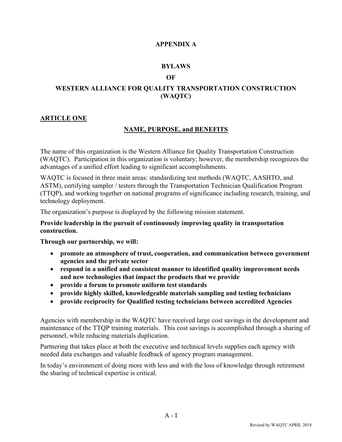## **APPENDIX A**

### **BYLAWS**

### **OF**

# <span id="page-52-1"></span><span id="page-52-0"></span>**WESTERN ALLIANCE FOR QUALITY TRANSPORTATION CONSTRUCTION (WAQTC)**

### **ARTICLE ONE**

### **NAME, PURPOSE, and BENEFITS**

The name of this organization is the Western Alliance for Quality Transportation Construction (WAQTC). Participation in this organization is voluntary; however, the membership recognizes the advantages of a unified effort leading to significant accomplishments.

WAQTC is focused in three main areas: standardizing test methods (WAQTC, AASHTO, and ASTM), certifying sampler / testers through the Transportation Technician Qualification Program (TTQP), and working together on national programs of significance including research, training, and technology deployment.

The organization's purpose is displayed by the following mission statement.

### **Provide leadership in the pursuit of continuously improving quality in transportation construction.**

**Through our partnership, we will:**

- **promote an atmosphere of trust, cooperation, and communication between government agencies and the private sector**
- **respond in a unified and consistent manner to identified quality improvement needs and new technologies that impact the products that we provide**
- **provide a forum to promote uniform test standards**
- **provide highly skilled, knowledgeable materials sampling and testing technicians**
- **provide reciprocity for Qualified testing technicians between accredited Agencies**

Agencies with membership in the WAQTC have received large cost savings in the development and maintenance of the TTQP training materials. This cost savings is accomplished through a sharing of personnel, while reducing materials duplication.

Partnering that takes place at both the executive and technical levels supplies each agency with needed data exchanges and valuable feedback of agency program management.

In today's environment of doing more with less and with the loss of knowledge through retirement the sharing of technical expertise is critical.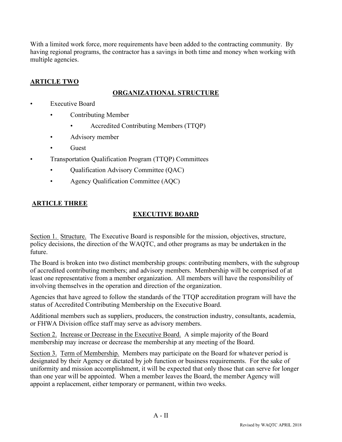With a limited work force, more requirements have been added to the contracting community. By having regional programs, the contractor has a savings in both time and money when working with multiple agencies.

# **ARTICLE TWO**

# **ORGANIZATIONAL STRUCTURE**

- Executive Board
	- Contributing Member
		- Accredited Contributing Members (TTQP)
	- Advisory member
	- **Guest**
- Transportation Qualification Program (TTQP) Committees
	- Qualification Advisory Committee (QAC)
	- Agency Qualification Committee (AQC)

# **ARTICLE THREE**

# **EXECUTIVE BOARD**

Section 1. Structure. The Executive Board is responsible for the mission, objectives, structure, policy decisions, the direction of the WAQTC, and other programs as may be undertaken in the future.

The Board is broken into two distinct membership groups: contributing members, with the subgroup of accredited contributing members; and advisory members. Membership will be comprised of at least one representative from a member organization. All members will have the responsibility of involving themselves in the operation and direction of the organization.

Agencies that have agreed to follow the standards of the TTQP accreditation program will have the status of Accredited Contributing Membership on the Executive Board.

Additional members such as suppliers, producers, the construction industry, consultants, academia, or FHWA Division office staff may serve as advisory members.

Section 2. Increase or Decrease in the Executive Board. A simple majority of the Board membership may increase or decrease the membership at any meeting of the Board.

Section 3. Term of Membership. Members may participate on the Board for whatever period is designated by their Agency or dictated by job function or business requirements. For the sake of uniformity and mission accomplishment, it will be expected that only those that can serve for longer than one year will be appointed. When a member leaves the Board, the member Agency will appoint a replacement, either temporary or permanent, within two weeks.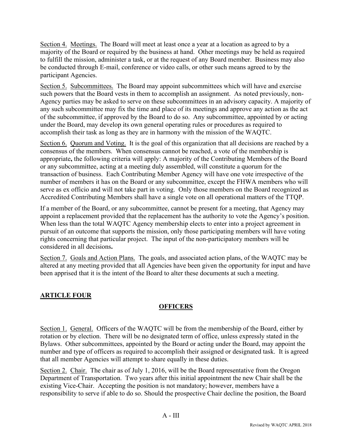Section 4. Meetings. The Board will meet at least once a year at a location as agreed to by a majority of the Board or required by the business at hand. Other meetings may be held as required to fulfill the mission, administer a task, or at the request of any Board member. Business may also be conducted through E-mail, conference or video calls, or other such means agreed to by the participant Agencies.

Section 5. Subcommittees. The Board may appoint subcommittees which will have and exercise such powers that the Board vests in them to accomplish an assignment. As noted previously, non-Agency parties may be asked to serve on these subcommittees in an advisory capacity. A majority of any such subcommittee may fix the time and place of its meetings and approve any action as the act of the subcommittee, if approved by the Board to do so. Any subcommittee, appointed by or acting under the Board, may develop its own general operating rules or procedures as required to accomplish their task as long as they are in harmony with the mission of the WAQTC.

Section 6. Quorum and Voting. It is the goal of this organization that all decisions are reached by a consensus of the members. When consensus cannot be reached, a vote of the membership is appropriate**,** the following criteria will apply: A majority of the Contributing Members of the Board or any subcommittee, acting at a meeting duly assembled, will constitute a quorum for the transaction of business. Each Contributing Member Agency will have one vote irrespective of the number of members it has on the Board or any subcommittee, except the FHWA members who will serve as ex officio and will not take part in voting. Only those members on the Board recognized as Accredited Contributing Members shall have a single vote on all operational matters of the TTQP.

If a member of the Board, or any subcommittee, cannot be present for a meeting, that Agency may appoint a replacement provided that the replacement has the authority to vote the Agency's position. When less than the total WAQTC Agency membership elects to enter into a project agreement in pursuit of an outcome that supports the mission, only those participating members will have voting rights concerning that particular project. The input of the non-participatory members will be considered in all decisions**.**

Section 7. Goals and Action Plans. The goals, and associated action plans, of the WAQTC may be altered at any meeting provided that all Agencies have been given the opportunity for input and have been apprised that it is the intent of the Board to alter these documents at such a meeting.

# **ARTICLE FOUR**

# **OFFICERS**

Section 1. General. Officers of the WAQTC will be from the membership of the Board, either by rotation or by election. There will be no designated term of office, unless expressly stated in the Bylaws. Other subcommittees, appointed by the Board or acting under the Board, may appoint the number and type of officers as required to accomplish their assigned or designated task. It is agreed that all member Agencies will attempt to share equally in these duties.

Section 2. Chair. The chair as of July 1, 2016, will be the Board representative from the Oregon Department of Transportation. Two years after this initial appointment the new Chair shall be the existing Vice-Chair. Accepting the position is not mandatory; however, members have a responsibility to serve if able to do so. Should the prospective Chair decline the position, the Board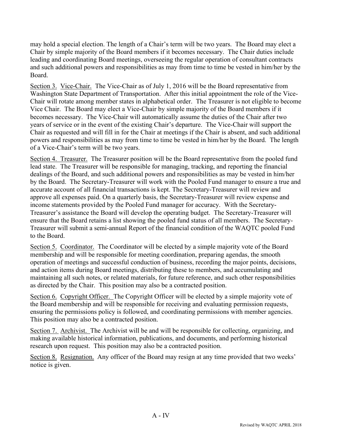may hold a special election. The length of a Chair's term will be two years. The Board may elect a Chair by simple majority of the Board members if it becomes necessary. The Chair duties include leading and coordinating Board meetings, overseeing the regular operation of consultant contracts and such additional powers and responsibilities as may from time to time be vested in him/her by the Board.

Section 3. Vice-Chair. The Vice-Chair as of July 1, 2016 will be the Board representative from Washington State Department of Transportation. After this initial appointment the role of the Vice-Chair will rotate among member states in alphabetical order. The Treasurer is not eligible to become Vice Chair. The Board may elect a Vice-Chair by simple majority of the Board members if it becomes necessary. The Vice-Chair will automatically assume the duties of the Chair after two years of service or in the event of the existing Chair's departure. The Vice-Chair will support the Chair as requested and will fill in for the Chair at meetings if the Chair is absent, and such additional powers and responsibilities as may from time to time be vested in him/her by the Board. The length of a Vice-Chair's term will be two years.

Section 4. Treasurer. The Treasurer position will be the Board representative from the pooled fund lead state. The Treasurer will be responsible for managing, tracking, and reporting the financial dealings of the Board, and such additional powers and responsibilities as may be vested in him/her by the Board. The Secretary-Treasurer will work with the Pooled Fund manager to ensure a true and accurate account of all financial transactions is kept. The Secretary-Treasurer will review and approve all expenses paid. On a quarterly basis, the Secretary-Treasurer will review expense and income statements provided by the Pooled Fund manager for accuracy. With the Secretary-Treasurer's assistance the Board will develop the operating budget. The Secretary-Treasurer will ensure that the Board retains a list showing the pooled fund status of all members. The Secretary-Treasurer will submit a semi-annual Report of the financial condition of the WAQTC pooled Fund to the Board.

Section 5. Coordinator. The Coordinator will be elected by a simple majority vote of the Board membership and will be responsible for meeting coordination, preparing agendas, the smooth operation of meetings and successful conduction of business, recording the major points, decisions, and action items during Board meetings, distributing these to members, and accumulating and maintaining all such notes, or related materials, for future reference, and such other responsibilities as directed by the Chair. This position may also be a contracted position.

Section 6. Copyright Officer. The Copyright Officer will be elected by a simple majority vote of the Board membership and will be responsible for receiving and evaluating permission requests, ensuring the permissions policy is followed, and coordinating permissions with member agencies. This position may also be a contracted position.

Section 7. Archivist. The Archivist will be and will be responsible for collecting, organizing, and making available historical information, publications, and documents, and performing historical research upon request. This position may also be a contracted position.

Section 8. Resignation. Any officer of the Board may resign at any time provided that two weeks' notice is given.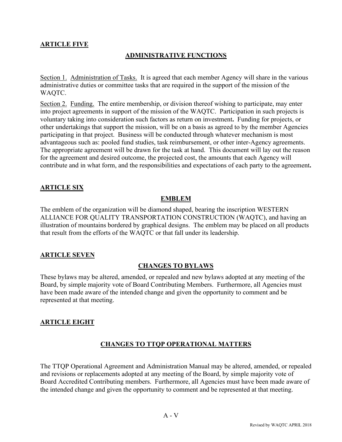# **ARTICLE FIVE**

# **ADMINISTRATIVE FUNCTIONS**

Section 1. Administration of Tasks. It is agreed that each member Agency will share in the various administrative duties or committee tasks that are required in the support of the mission of the WAQTC.

Section 2. Funding. The entire membership, or division thereof wishing to participate, may enter into project agreements in support of the mission of the WAQTC. Participation in such projects is voluntary taking into consideration such factors as return on investment**.** Funding for projects, or other undertakings that support the mission, will be on a basis as agreed to by the member Agencies participating in that project. Business will be conducted through whatever mechanism is most advantageous such as: pooled fund studies, task reimbursement, or other inter-Agency agreements. The appropriate agreement will be drawn for the task at hand. This document will lay out the reason for the agreement and desired outcome, the projected cost, the amounts that each Agency will contribute and in what form, and the responsibilities and expectations of each party to the agreement**.**

# **ARTICLE SIX**

### **EMBLEM**

The emblem of the organization will be diamond shaped, bearing the inscription WESTERN ALLIANCE FOR QUALITY TRANSPORTATION CONSTRUCTION (WAQTC), and having an illustration of mountains bordered by graphical designs. The emblem may be placed on all products that result from the efforts of the WAQTC or that fall under its leadership.

### **ARTICLE SEVEN**

## **CHANGES TO BYLAWS**

These bylaws may be altered, amended, or repealed and new bylaws adopted at any meeting of the Board, by simple majority vote of Board Contributing Members. Furthermore, all Agencies must have been made aware of the intended change and given the opportunity to comment and be represented at that meeting.

## **ARTICLE EIGHT**

# **CHANGES TO TTQP OPERATIONAL MATTERS**

The TTQP Operational Agreement and Administration Manual may be altered, amended, or repealed and revisions or replacements adopted at any meeting of the Board, by simple majority vote of Board Accredited Contributing members. Furthermore, all Agencies must have been made aware of the intended change and given the opportunity to comment and be represented at that meeting.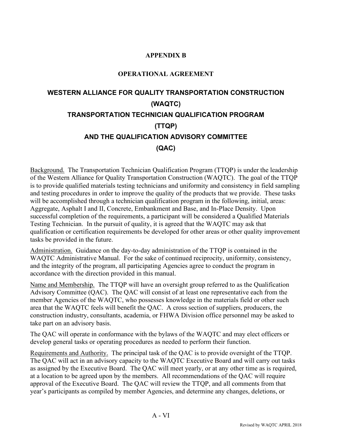# **APPENDIX B**

# **OPERATIONAL AGREEMENT**

# <span id="page-57-1"></span><span id="page-57-0"></span>**WESTERN ALLIANCE FOR QUALITY TRANSPORTATION CONSTRUCTION (WAQTC) TRANSPORTATION TECHNICIAN QUALIFICATION PROGRAM (TTQP) AND THE QUALIFICATION ADVISORY COMMITTEE (QAC)**

Background. The Transportation Technician Qualification Program (TTQP) is under the leadership of the Western Alliance for Quality Transportation Construction (WAQTC). The goal of the TTQP is to provide qualified materials testing technicians and uniformity and consistency in field sampling and testing procedures in order to improve the quality of the products that we provide. These tasks will be accomplished through a technician qualification program in the following, initial, areas: Aggregate, Asphalt I and II, Concrete, Embankment and Base, and In-Place Density. Upon successful completion of the requirements, a participant will be considered a Qualified Materials Testing Technician. In the pursuit of quality, it is agreed that the WAQTC may ask that qualification or certification requirements be developed for other areas or other quality improvement tasks be provided in the future.

Administration. Guidance on the day-to-day administration of the TTQP is contained in the WAQTC Administrative Manual. For the sake of continued reciprocity, uniformity, consistency, and the integrity of the program, all participating Agencies agree to conduct the program in accordance with the direction provided in this manual.

Name and Membership. The TTQP will have an oversight group referred to as the Qualification Advisory Committee (QAC). The QAC will consist of at least one representative each from the member Agencies of the WAQTC, who possesses knowledge in the materials field or other such area that the WAQTC feels will benefit the QAC. A cross section of suppliers, producers, the construction industry, consultants, academia, or FHWA Division office personnel may be asked to take part on an advisory basis.

The QAC will operate in conformance with the bylaws of the WAQTC and may elect officers or develop general tasks or operating procedures as needed to perform their function.

Requirements and Authority. The principal task of the QAC is to provide oversight of the TTQP. The QAC will act in an advisory capacity to the WAQTC Executive Board and will carry out tasks as assigned by the Executive Board. The QAC will meet yearly, or at any other time as is required, at a location to be agreed upon by the members. All recommendations of the QAC will require approval of the Executive Board. The QAC will review the TTQP, and all comments from that year's participants as compiled by member Agencies, and determine any changes, deletions, or